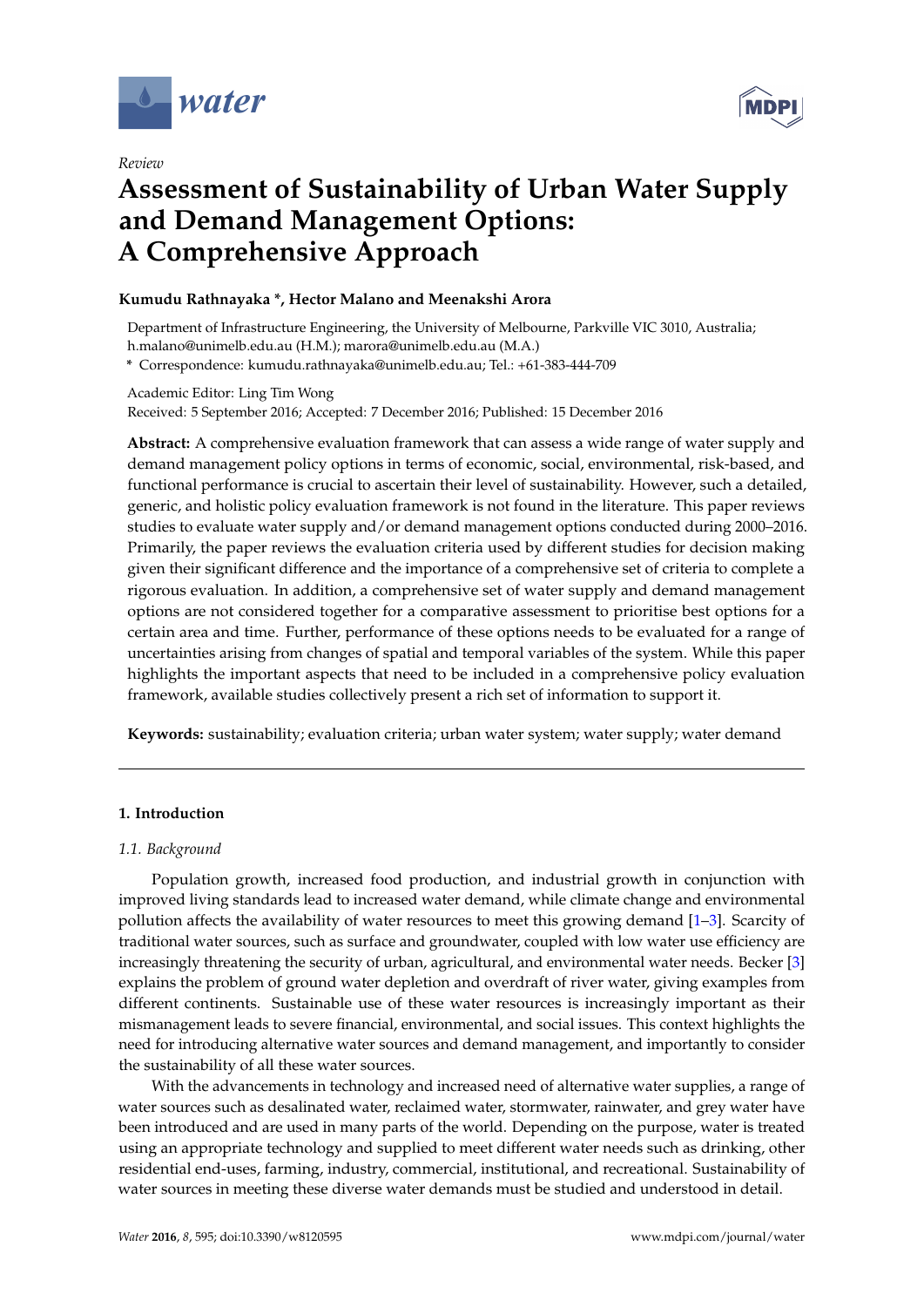

*Review*



# **Assessment of Sustainability of Urban Water Supply and Demand Management Options: A Comprehensive Approach**

# **Kumudu Rathnayaka \*, Hector Malano and Meenakshi Arora**

Department of Infrastructure Engineering, the University of Melbourne, Parkville VIC 3010, Australia; h.malano@unimelb.edu.au (H.M.); marora@unimelb.edu.au (M.A.)

**\*** Correspondence: kumudu.rathnayaka@unimelb.edu.au; Tel.: +61-383-444-709

Academic Editor: Ling Tim Wong

Received: 5 September 2016; Accepted: 7 December 2016; Published: 15 December 2016

**Abstract:** A comprehensive evaluation framework that can assess a wide range of water supply and demand management policy options in terms of economic, social, environmental, risk-based, and functional performance is crucial to ascertain their level of sustainability. However, such a detailed, generic, and holistic policy evaluation framework is not found in the literature. This paper reviews studies to evaluate water supply and/or demand management options conducted during 2000–2016. Primarily, the paper reviews the evaluation criteria used by different studies for decision making given their significant difference and the importance of a comprehensive set of criteria to complete a rigorous evaluation. In addition, a comprehensive set of water supply and demand management options are not considered together for a comparative assessment to prioritise best options for a certain area and time. Further, performance of these options needs to be evaluated for a range of uncertainties arising from changes of spatial and temporal variables of the system. While this paper highlights the important aspects that need to be included in a comprehensive policy evaluation framework, available studies collectively present a rich set of information to support it.

**Keywords:** sustainability; evaluation criteria; urban water system; water supply; water demand

# **1. Introduction**

# *1.1. Background*

Population growth, increased food production, and industrial growth in conjunction with improved living standards lead to increased water demand, while climate change and environmental pollution affects the availability of water resources to meet this growing demand  $[1-3]$  $[1-3]$ . Scarcity of traditional water sources, such as surface and groundwater, coupled with low water use efficiency are increasingly threatening the security of urban, agricultural, and environmental water needs. Becker [\[3\]](#page-11-1) explains the problem of ground water depletion and overdraft of river water, giving examples from different continents. Sustainable use of these water resources is increasingly important as their mismanagement leads to severe financial, environmental, and social issues. This context highlights the need for introducing alternative water sources and demand management, and importantly to consider the sustainability of all these water sources.

With the advancements in technology and increased need of alternative water supplies, a range of water sources such as desalinated water, reclaimed water, stormwater, rainwater, and grey water have been introduced and are used in many parts of the world. Depending on the purpose, water is treated using an appropriate technology and supplied to meet different water needs such as drinking, other residential end-uses, farming, industry, commercial, institutional, and recreational. Sustainability of water sources in meeting these diverse water demands must be studied and understood in detail.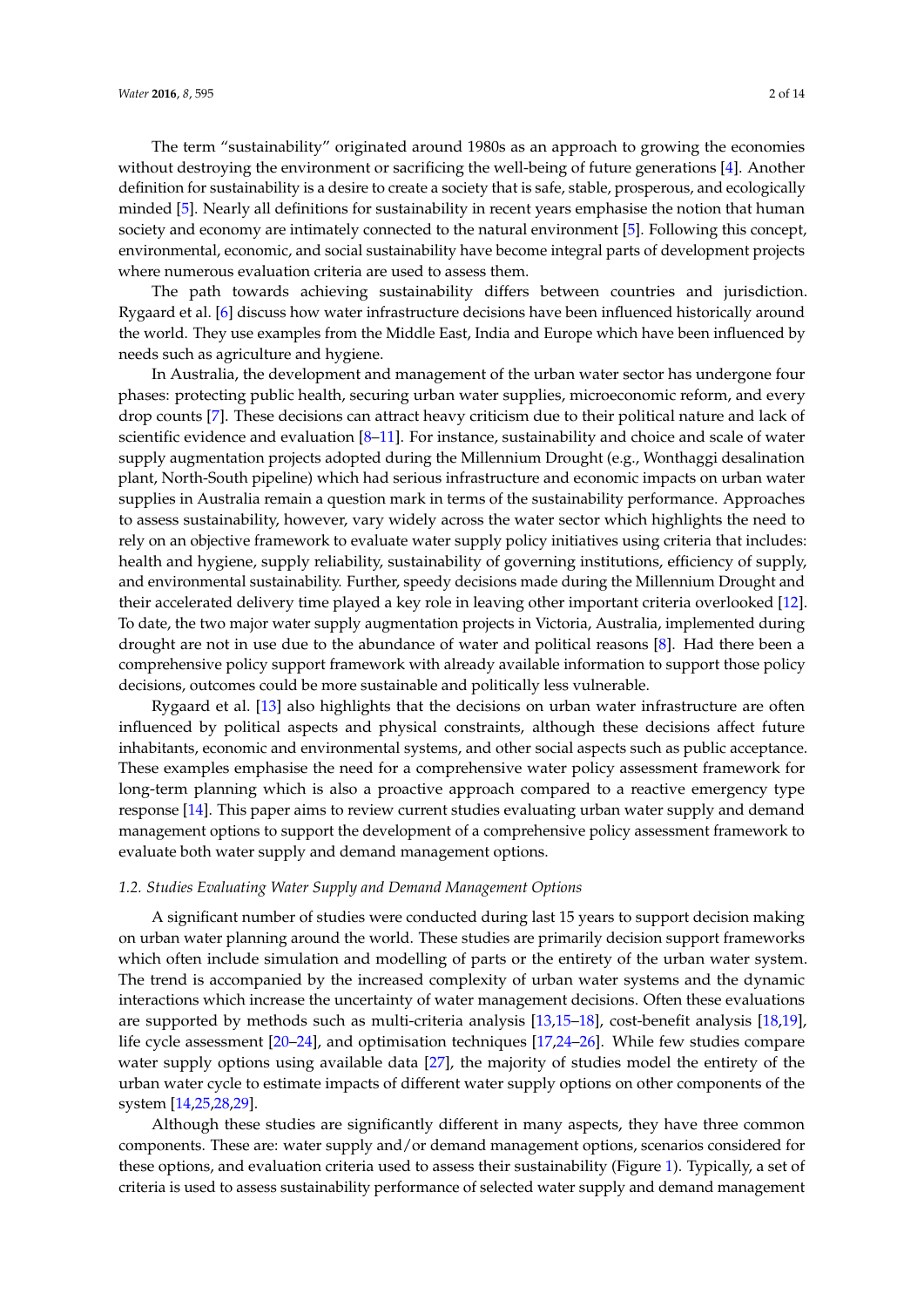The term "sustainability" originated around 1980s as an approach to growing the economies without destroying the environment or sacrificing the well-being of future generations [\[4\]](#page-11-2). Another definition for sustainability is a desire to create a society that is safe, stable, prosperous, and ecologically minded [\[5\]](#page-11-3). Nearly all definitions for sustainability in recent years emphasise the notion that human society and economy are intimately connected to the natural environment [\[5\]](#page-11-3). Following this concept, environmental, economic, and social sustainability have become integral parts of development projects where numerous evaluation criteria are used to assess them.

The path towards achieving sustainability differs between countries and jurisdiction. Rygaard et al. [\[6\]](#page-11-4) discuss how water infrastructure decisions have been influenced historically around the world. They use examples from the Middle East, India and Europe which have been influenced by needs such as agriculture and hygiene.

In Australia, the development and management of the urban water sector has undergone four phases: protecting public health, securing urban water supplies, microeconomic reform, and every drop counts [\[7\]](#page-11-5). These decisions can attract heavy criticism due to their political nature and lack of scientific evidence and evaluation [\[8](#page-11-6)[–11\]](#page-11-7). For instance, sustainability and choice and scale of water supply augmentation projects adopted during the Millennium Drought (e.g., Wonthaggi desalination plant, North-South pipeline) which had serious infrastructure and economic impacts on urban water supplies in Australia remain a question mark in terms of the sustainability performance. Approaches to assess sustainability, however, vary widely across the water sector which highlights the need to rely on an objective framework to evaluate water supply policy initiatives using criteria that includes: health and hygiene, supply reliability, sustainability of governing institutions, efficiency of supply, and environmental sustainability. Further, speedy decisions made during the Millennium Drought and their accelerated delivery time played a key role in leaving other important criteria overlooked [\[12\]](#page-11-8). To date, the two major water supply augmentation projects in Victoria, Australia, implemented during drought are not in use due to the abundance of water and political reasons [\[8\]](#page-11-6). Had there been a comprehensive policy support framework with already available information to support those policy decisions, outcomes could be more sustainable and politically less vulnerable.

Rygaard et al. [\[13\]](#page-11-9) also highlights that the decisions on urban water infrastructure are often influenced by political aspects and physical constraints, although these decisions affect future inhabitants, economic and environmental systems, and other social aspects such as public acceptance. These examples emphasise the need for a comprehensive water policy assessment framework for long-term planning which is also a proactive approach compared to a reactive emergency type response [\[14\]](#page-11-10). This paper aims to review current studies evaluating urban water supply and demand management options to support the development of a comprehensive policy assessment framework to evaluate both water supply and demand management options.

#### *1.2. Studies Evaluating Water Supply and Demand Management Options*

A significant number of studies were conducted during last 15 years to support decision making on urban water planning around the world. These studies are primarily decision support frameworks which often include simulation and modelling of parts or the entirety of the urban water system. The trend is accompanied by the increased complexity of urban water systems and the dynamic interactions which increase the uncertainty of water management decisions. Often these evaluations are supported by methods such as multi-criteria analysis [\[13,](#page-11-9)[15](#page-11-11)[–18\]](#page-12-0), cost-benefit analysis [\[18,](#page-12-0)[19\]](#page-12-1), life cycle assessment [\[20](#page-12-2)[–24\]](#page-12-3), and optimisation techniques [\[17,](#page-12-4)[24–](#page-12-3)[26\]](#page-12-5). While few studies compare water supply options using available data [\[27\]](#page-12-6), the majority of studies model the entirety of the urban water cycle to estimate impacts of different water supply options on other components of the system [\[14,](#page-11-10)[25,](#page-12-7)[28,](#page-12-8)[29\]](#page-12-9).

Although these studies are significantly different in many aspects, they have three common components. These are: water supply and/or demand management options, scenarios considered for these options, and evaluation criteria used to assess their sustainability (Figure [1\)](#page-2-0). Typically, a set of criteria is used to assess sustainability performance of selected water supply and demand management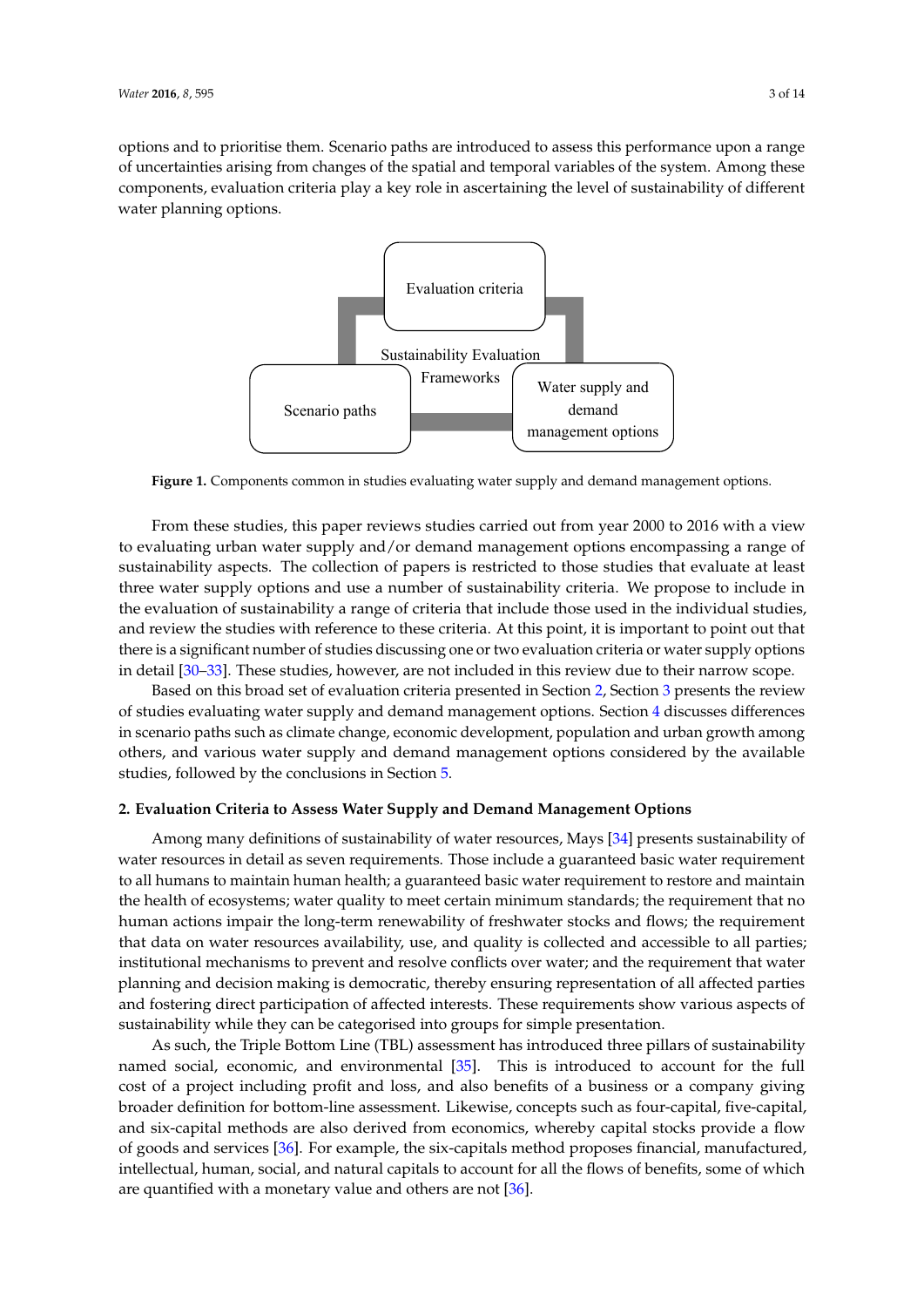<span id="page-2-0"></span>options and to prioritise them. Scenario paths are introduced to assess this performance upon a range of uncertainties arising from changes of the spatial and temporal variables of the system. Among these components, evaluation criteria play a key role in ascertaining the level of sustainability of different<br>water planning options water planning options.



**Figure 1.** Components common in studies evaluating water supply and demand management options. **Figure 1.** Components common in studies evaluating water supply and demand management options.

From these studies, this paper reviews studies carried out from year 2000 to 2016 with a view to evaluating urban water supply and/or demand management options encompassing a range of water supply options and use a number of sustainability criteria. We propose to include in the sustainability aspects. The collection of papers is restricted to those studies that evaluate at least three water supply options and use a number of sustainability criteria. We propose to include in the evaluation of sustainability a range of criteria that include those used in the individual studies, and review the studies with reference to these criteria. At this point, it is important to point out that there is a significant number of studies discussing one or two evaluation criteria or water supply options in detail [\[30](#page-12-10)[–33\]](#page-12-11). These studies, however, are not included in this review due to their narrow scope.

Based on this broad set of evaluation criteria presented in Section [2,](#page-2-1) Section [3](#page-4-0) presents the review and and various water supply and demand management options considered by the supply of the supply of the supply of the supply of the supply of the supply of the supply of the supply of the supply of the supply of the suppl of studies evaluating water supply and demand management options. Section [4](#page-9-0) discusses differences others, and various water supply and demand management options considered by the available studies, followed by the conclusions in Section  $5$ . in scenario paths such as climate change, economic development, population and urban growth among

# <span id="page-2-1"></span>2. Evaluation Criteria to Assess Water Supply and Demand Management Options

Among many definitions of sustainability of water resources, Mays [\[34\]](#page-12-12) presents sustainability of recip many activities to be calculated in part that the local cool important problems because water resources in detail as seven requirements. Those include a guaranteed basic water requirement to all humans to maintain human health; a guaranteed basic water requirement to restore and maintain the health of ecosystems; water quality to meet certain minimum standards; the requirement that no human actions impair the long-term renewability of freshwater stocks and flows; the requirement that data on water resources availability, use, and quality is collected and accessible to all parties; institutional mechanisms to prevent and resolve conflicts over water; and the requirement that water named social, economic, and environmental  $\mathcal{S}_1$  is introduced to account for the full cost of account for the full cost of account for the full cost of account for the full cost of account for the full cost of account planning and decision making is democratic, thereby ensuring representation of all affected parties and fostering direct participation of affected interests. These requirements show various aspects of sustainability while they can be categorised into groups for simple presentation.

As such, the Triple Bottom Line (TBL) assessment has introduced three pillars of sustainability named social, economic, and environmental [\[35\]](#page-12-13). This is introduced to account for the full cost of a project including profit and loss, and also benefits of a business or a company giving  $B_{\rm orb}$  based on the concepts of these concepts, frameworks to report sustainability of  $\sim$ broader definition for bottom-line assessment. Likewise, concepts such as four-capital, five-capital,  $\tilde{a}$ and six-capital methods are also derived from economics, whereby capital stocks provide a flow of goods and services [\[36\]](#page-13-0). For example, the six-capitals method proposes financial, manufactured, intellectual, human, social, and natural capitals to account for all the flows of benefits, some of which are quantified with a monetary value and others are not [\[36\]](#page-13-0).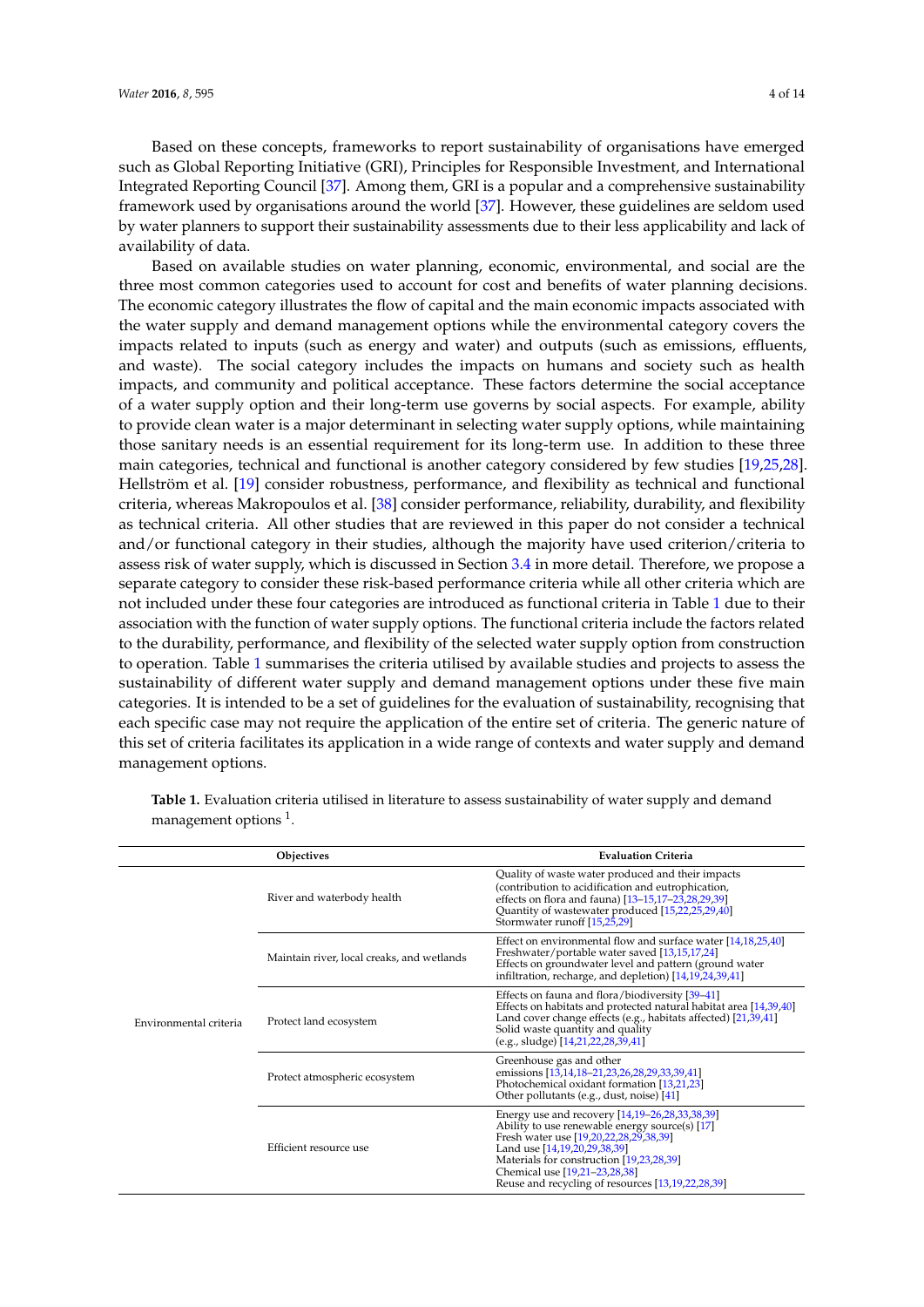Based on these concepts, frameworks to report sustainability of organisations have emerged such as Global Reporting Initiative (GRI), Principles for Responsible Investment, and International Integrated Reporting Council [\[37\]](#page-13-1). Among them, GRI is a popular and a comprehensive sustainability framework used by organisations around the world [\[37\]](#page-13-1). However, these guidelines are seldom used by water planners to support their sustainability assessments due to their less applicability and lack of availability of data.

Based on available studies on water planning, economic, environmental, and social are the three most common categories used to account for cost and benefits of water planning decisions. The economic category illustrates the flow of capital and the main economic impacts associated with the water supply and demand management options while the environmental category covers the impacts related to inputs (such as energy and water) and outputs (such as emissions, effluents, and waste). The social category includes the impacts on humans and society such as health impacts, and community and political acceptance. These factors determine the social acceptance of a water supply option and their long-term use governs by social aspects. For example, ability to provide clean water is a major determinant in selecting water supply options, while maintaining those sanitary needs is an essential requirement for its long-term use. In addition to these three main categories, technical and functional is another category considered by few studies [\[19,](#page-12-1)[25,](#page-12-7)[28\]](#page-12-8). Hellström et al. [\[19\]](#page-12-1) consider robustness, performance, and flexibility as technical and functional criteria, whereas Makropoulos et al. [\[38\]](#page-13-2) consider performance, reliability, durability, and flexibility as technical criteria. All other studies that are reviewed in this paper do not consider a technical and/or functional category in their studies, although the majority have used criterion/criteria to assess risk of water supply, which is discussed in Section [3.4](#page-9-1) in more detail. Therefore, we propose a separate category to consider these risk-based performance criteria while all other criteria which are not included under these four categories are introduced as functional criteria in Table [1](#page-4-1) due to their association with the function of water supply options. The functional criteria include the factors related to the durability, performance, and flexibility of the selected water supply option from construction to operation. Table [1](#page-4-1) summarises the criteria utilised by available studies and projects to assess the sustainability of different water supply and demand management options under these five main categories. It is intended to be a set of guidelines for the evaluation of sustainability, recognising that each specific case may not require the application of the entire set of criteria. The generic nature of this set of criteria facilitates its application in a wide range of contexts and water supply and demand management options.

| Objectives             |                                            | <b>Evaluation Criteria</b>                                                                                                                                                                                                                                                                                     |  |  |
|------------------------|--------------------------------------------|----------------------------------------------------------------------------------------------------------------------------------------------------------------------------------------------------------------------------------------------------------------------------------------------------------------|--|--|
| Environmental criteria | River and waterbody health                 | Quality of waste water produced and their impacts<br>(contribution to acidification and eutrophication,<br>effects on flora and fauna) [13-15,17-23,28,29,39]<br>Quantity of wastewater produced [15,22,25,29,40]<br>Stormwater runoff [15,25,29]                                                              |  |  |
|                        | Maintain river, local creaks, and wetlands | Effect on environmental flow and surface water [14,18,25,40]<br>Freshwater/portable water saved [13,15,17,24]<br>Effects on groundwater level and pattern (ground water<br>infiltration, recharge, and depletion) [14,19,24,39,41]                                                                             |  |  |
|                        | Protect land ecosystem                     | Effects on fauna and flora/biodiversity [39–41]<br>Effects on habitats and protected natural habitat area [14,39,40]<br>Land cover change effects (e.g., habitats affected) [21,39,41]<br>Solid waste quantity and quality<br>(e.g., sludge) [14,21,22,28,39,41]                                               |  |  |
|                        | Protect atmospheric ecosystem              | Greenhouse gas and other<br>emissions [13,14,18-21,23,26,28,29,33,39,41]<br>Photochemical oxidant formation [13,21,23]<br>Other pollutants (e.g., dust, noise) [41]                                                                                                                                            |  |  |
|                        | Efficient resource use                     | Energy use and recovery [14,19-26,28,33,38,39]<br>Ability to use renewable energy source(s) $[17]$<br>Fresh water use [19,20,22,28,29,38,39]<br>Land use [14,19,20,29,38,39]<br>Materials for construction [19,23,28,39]<br>Chemical use [19,21-23,28,38]<br>Reuse and recycling of resources [13,19,22,28,39] |  |  |

**Table 1.** Evaluation criteria utilised in literature to assess sustainability of water supply and demand management options  $^1$ .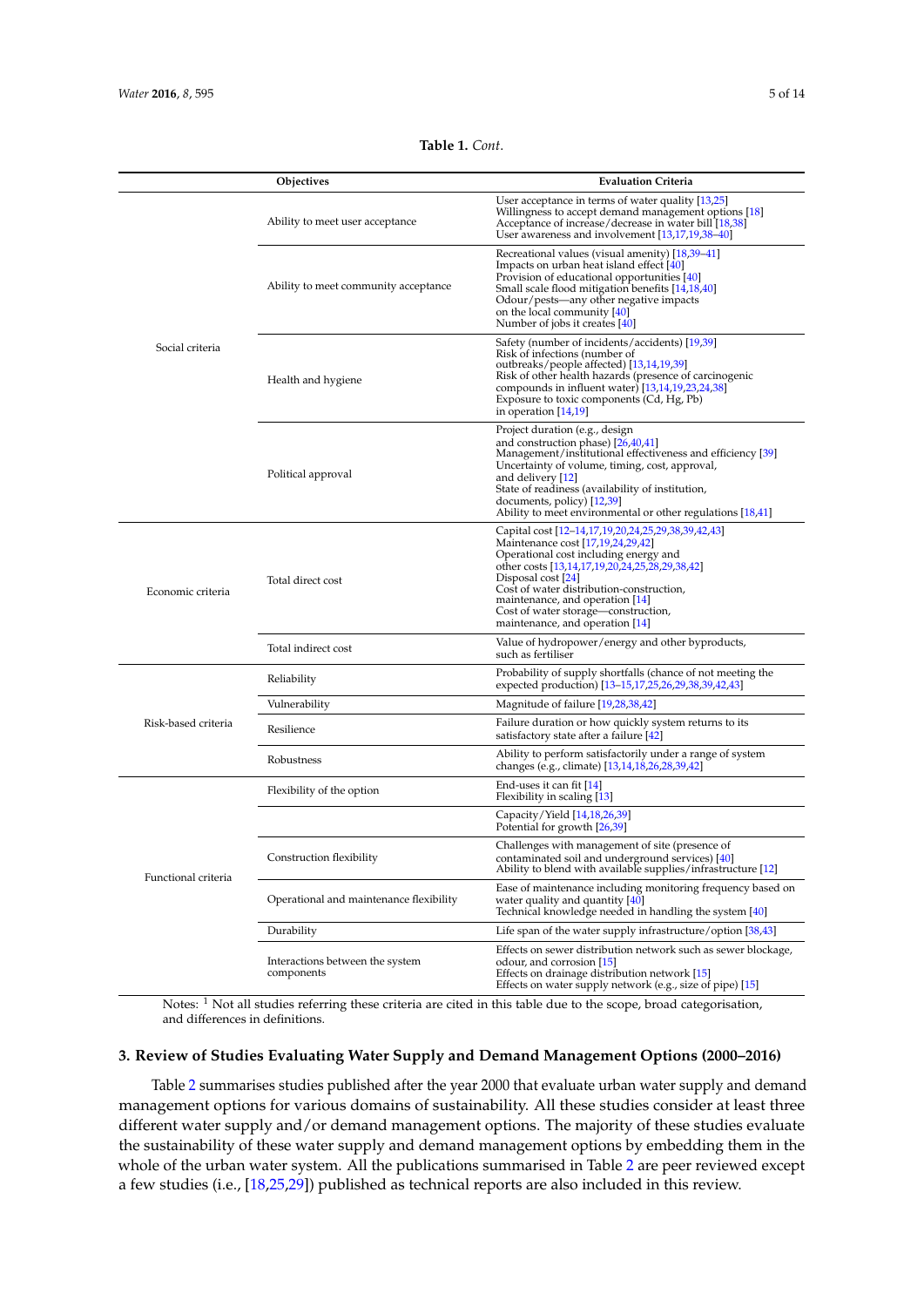**Objectives** 

| t.                                                                                                                                                                                                                                                                      |  |
|-------------------------------------------------------------------------------------------------------------------------------------------------------------------------------------------------------------------------------------------------------------------------|--|
| <b>Evaluation Criteria</b>                                                                                                                                                                                                                                              |  |
| User acceptance in terms of water quality [13,25]<br>Willingness to accept demand management options [18]<br>Acceptance of increase/decrease in water bill [18,38]<br>User awareness and involvement [13,17,19,38-40]                                                   |  |
| Recreational values (visual amenity) [18,39–41]<br>Impacts on urban heat island effect [40]<br>Provision of educational opportunities [40]<br>Small scale flood mitigation benefits [14,18,40]<br>Odour/pests—any other negative impacts<br>on the local community [40] |  |

**Table 1.** *Cont*.

<span id="page-4-1"></span>

|                     | Ability to meet user acceptance               | vvillingness to accept demand management options [16]<br>Acceptance of increase/decrease in water bill [18,38]<br>User awareness and involvement [13,17,19,38-40]                                                                                                                                                                                                 |  |  |
|---------------------|-----------------------------------------------|-------------------------------------------------------------------------------------------------------------------------------------------------------------------------------------------------------------------------------------------------------------------------------------------------------------------------------------------------------------------|--|--|
| Social criteria     | Ability to meet community acceptance          | Recreational values (visual amenity) [18,39-41]<br>Impacts on urban heat island effect [40]<br>Provision of educational opportunities [40]<br>Small scale flood mitigation benefits [14,18,40]<br>Odour/pests—any other negative impacts<br>on the local community [40]<br>Number of jobs it creates [40]                                                         |  |  |
|                     | Health and hygiene                            | Safety (number of incidents/accidents) [19,39]<br>Risk of infections (number of<br>outbreaks/people affected) [13,14,19,39]<br>Risk of other health hazards (presence of carcinogenic<br>compounds in influent water) [13,14,19,23,24,38]<br>Exposure to toxic components (Cd, Hg, Pb)<br>in operation $[14,19]$                                                  |  |  |
|                     | Political approval                            | Project duration (e.g., design<br>and construction phase) [26,40,41]<br>Management/institutional effectiveness and efficiency [39]<br>Uncertainty of volume, timing, cost, approval,<br>and delivery [12]<br>State of readiness (availability of institution,<br>documents, policy) [12,39]<br>Ability to meet environmental or other regulations [18,41]         |  |  |
| Economic criteria   | Total direct cost                             | Capital cost [12-14,17,19,20,24,25,29,38,39,42,43]<br>Maintenance cost [17,19,24,29,42]<br>Operational cost including energy and<br>other costs [13,14,17,19,20,24,25,28,29,38,42]<br>Disposal cost [24]<br>Cost of water distribution-construction,<br>maintenance, and operation [14]<br>Cost of water storage—construction,<br>maintenance, and operation [14] |  |  |
|                     | Total indirect cost                           | Value of hydropower/energy and other byproducts,<br>such as fertiliser                                                                                                                                                                                                                                                                                            |  |  |
|                     | Reliability                                   | Probability of supply shortfalls (chance of not meeting the<br>expected production) [13-15,17,25,26,29,38,39,42,43]                                                                                                                                                                                                                                               |  |  |
|                     | Vulnerability                                 | Magnitude of failure [19,28,38,42]                                                                                                                                                                                                                                                                                                                                |  |  |
| Risk-based criteria | Resilience                                    | Failure duration or how quickly system returns to its<br>satisfactory state after a failure [42]                                                                                                                                                                                                                                                                  |  |  |
|                     | Robustness                                    | Ability to perform satisfactorily under a range of system<br>changes (e.g., climate) [13,14,18,26,28,39,42]                                                                                                                                                                                                                                                       |  |  |
|                     | Flexibility of the option                     | End-uses it can fit $[14]$<br>Flexibility in scaling [13]                                                                                                                                                                                                                                                                                                         |  |  |
|                     |                                               | Capacity/Yield [14,18,26,39]<br>Potential for growth [26,39]                                                                                                                                                                                                                                                                                                      |  |  |
| Functional criteria | Construction flexibility                      | Challenges with management of site (presence of<br>contaminated soil and underground services) [40]<br>Ability to blend with available supplies/infrastructure [12]                                                                                                                                                                                               |  |  |
|                     | Operational and maintenance flexibility       | Ease of maintenance including monitoring frequency based on<br>water quality and quantity [40]<br>Technical knowledge needed in handling the system [40]                                                                                                                                                                                                          |  |  |
|                     | Durability                                    | Life span of the water supply infrastructure/option [38,43]                                                                                                                                                                                                                                                                                                       |  |  |
|                     | Interactions between the system<br>components | Effects on sewer distribution network such as sewer blockage,<br>odour, and corrosion [15]<br>Effects on drainage distribution network [15]<br>Effects on water supply network (e.g., size of pipe) [15]                                                                                                                                                          |  |  |

Notes: <sup>1</sup> Not all studies referring these criteria are cited in this table due to the scope, broad categorisation, and differences in definitions.

### <span id="page-4-0"></span>**3. Review of Studies Evaluating Water Supply and Demand Management Options (2000–2016)**

Table [2](#page-7-0) summarises studies published after the year 2000 that evaluate urban water supply and demand management options for various domains of sustainability. All these studies consider at least three different water supply and/or demand management options. The majority of these studies evaluate the sustainability of these water supply and demand management options by embedding them in the whole of the urban water system. All the publications summarised in Table [2](#page-7-0) are peer reviewed except a few studies (i.e., [\[18,](#page-12-0)[25,](#page-12-7)[29\]](#page-12-9)) published as technical reports are also included in this review.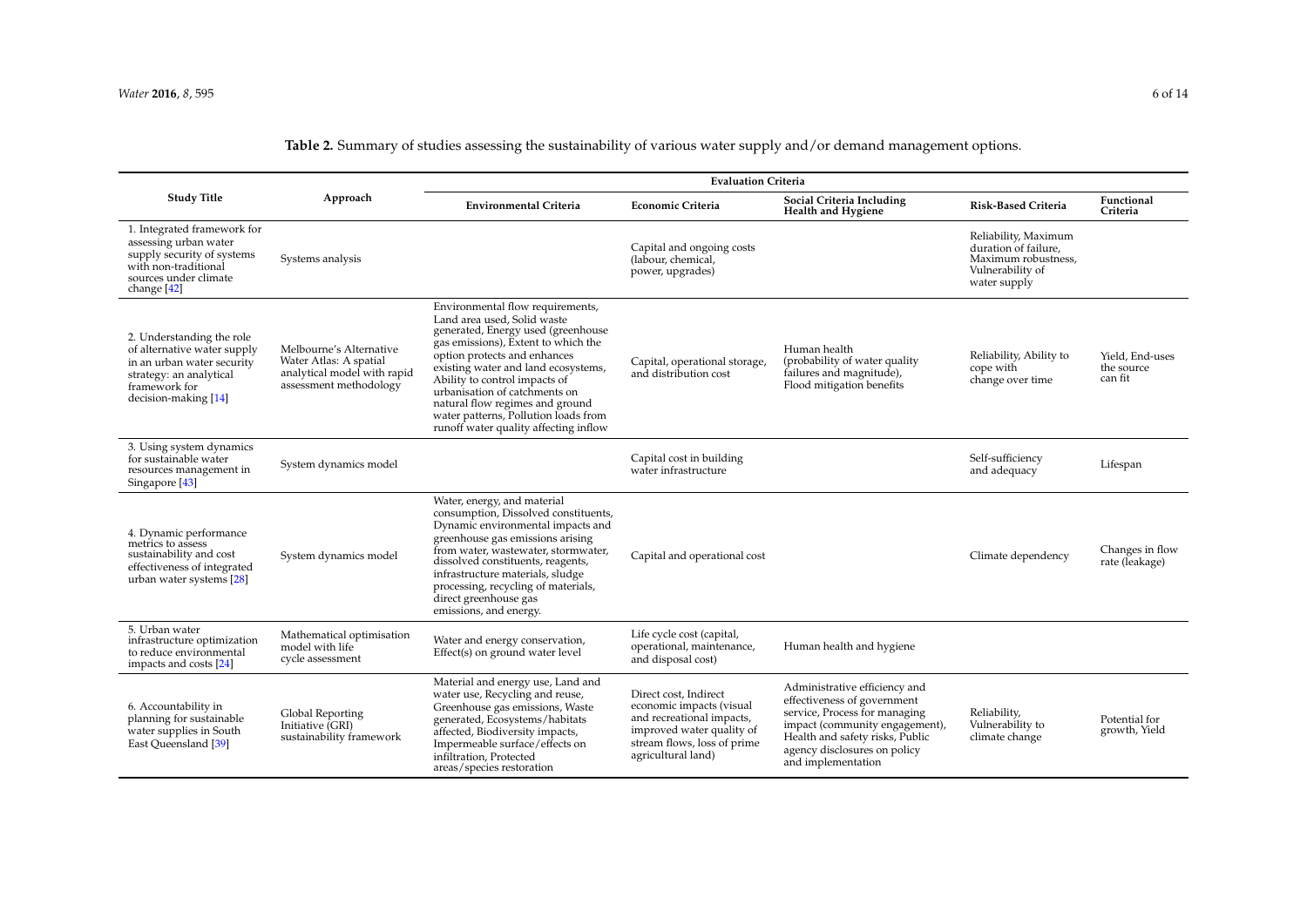# **Table 2.** Summary of studies assessing the sustainability of various water supply and/or demand management options.

|                                                                                                                                                            | Approach                                                                                                   | <b>Evaluation Criteria</b>                                                                                                                                                                                                                                                                                                                                                                                |                                                                                                                                                                  |                                                                                                                                                                                                                          |                                                                                                         |                                          |
|------------------------------------------------------------------------------------------------------------------------------------------------------------|------------------------------------------------------------------------------------------------------------|-----------------------------------------------------------------------------------------------------------------------------------------------------------------------------------------------------------------------------------------------------------------------------------------------------------------------------------------------------------------------------------------------------------|------------------------------------------------------------------------------------------------------------------------------------------------------------------|--------------------------------------------------------------------------------------------------------------------------------------------------------------------------------------------------------------------------|---------------------------------------------------------------------------------------------------------|------------------------------------------|
| <b>Study Title</b>                                                                                                                                         |                                                                                                            | <b>Environmental Criteria</b>                                                                                                                                                                                                                                                                                                                                                                             | <b>Economic Criteria</b>                                                                                                                                         | Social Criteria Including<br><b>Health and Hygiene</b>                                                                                                                                                                   | <b>Risk-Based Criteria</b>                                                                              | Functional<br>Criteria                   |
| 1. Integrated framework for<br>assessing urban water<br>supply security of systems<br>with non-traditional<br>sources under climate<br>change [42]         | Systems analysis                                                                                           |                                                                                                                                                                                                                                                                                                                                                                                                           | Capital and ongoing costs<br>(labour, chemical,<br>power, upgrades)                                                                                              |                                                                                                                                                                                                                          | Reliability, Maximum<br>duration of failure.<br>Maximum robustness,<br>Vulnerability of<br>water supply |                                          |
| 2. Understanding the role<br>of alternative water supply<br>in an urban water security<br>strategy: an analytical<br>framework for<br>decision-making [14] | Melbourne's Alternative<br>Water Atlas: A spatial<br>analytical model with rapid<br>assessment methodology | Environmental flow requirements,<br>Land area used, Solid waste<br>generated, Energy used (greenhouse<br>gas emissions), Extent to which the<br>option protects and enhances<br>existing water and land ecosystems,<br>Ability to control impacts of<br>urbanisation of catchments on<br>natural flow regimes and ground<br>water patterns, Pollution loads from<br>runoff water quality affecting inflow | Capital, operational storage,<br>and distribution cost                                                                                                           | Human health<br>(probability of water quality<br>failures and magnitude),<br>Flood mitigation benefits                                                                                                                   | Reliability, Ability to<br>cope with<br>change over time                                                | Yield. End-uses<br>the source<br>can fit |
| 3. Using system dynamics<br>for sustainable water<br>resources management in<br>Singapore [43]                                                             | System dynamics model                                                                                      |                                                                                                                                                                                                                                                                                                                                                                                                           | Capital cost in building<br>water infrastructure                                                                                                                 |                                                                                                                                                                                                                          | Self-sufficiency<br>and adequacy                                                                        | Lifespan                                 |
| 4. Dynamic performance<br>metrics to assess<br>sustainability and cost<br>effectiveness of integrated<br>urban water systems [28]                          | System dynamics model                                                                                      | Water, energy, and material<br>consumption, Dissolved constituents,<br>Dynamic environmental impacts and<br>greenhouse gas emissions arising<br>from water, wastewater, stormwater,<br>dissolved constituents, reagents,<br>infrastructure materials, sludge<br>processing, recycling of materials,<br>direct greenhouse gas<br>emissions, and energy.                                                    | Capital and operational cost                                                                                                                                     |                                                                                                                                                                                                                          | Climate dependency                                                                                      | Changes in flow<br>rate (leakage)        |
| 5. Urban water<br>infrastructure optimization<br>to reduce environmental<br>impacts and costs [24]                                                         | Mathematical optimisation<br>model with life<br>cycle assessment                                           | Water and energy conservation,<br>Effect(s) on ground water level                                                                                                                                                                                                                                                                                                                                         | Life cycle cost (capital,<br>operational, maintenance,<br>and disposal cost)                                                                                     | Human health and hygiene                                                                                                                                                                                                 |                                                                                                         |                                          |
| 6. Accountability in<br>planning for sustainable<br>water supplies in South<br>East Queensland [39]                                                        | Global Reporting<br>Initiative (GRI)<br>sustainability framework                                           | Material and energy use, Land and<br>water use, Recycling and reuse,<br>Greenhouse gas emissions, Waste<br>generated, Ecosystems/habitats<br>affected, Biodiversity impacts,<br>Impermeable surface/effects on<br>infiltration, Protected<br>areas/species restoration                                                                                                                                    | Direct cost. Indirect<br>economic impacts (visual<br>and recreational impacts,<br>improved water quality of<br>stream flows, loss of prime<br>agricultural land) | Administrative efficiency and<br>effectiveness of government<br>service, Process for managing<br>impact (community engagement),<br>Health and safety risks, Public<br>agency disclosures on policy<br>and implementation | Reliability,<br>Vulnerability to<br>climate change                                                      | Potential for<br>growth, Yield           |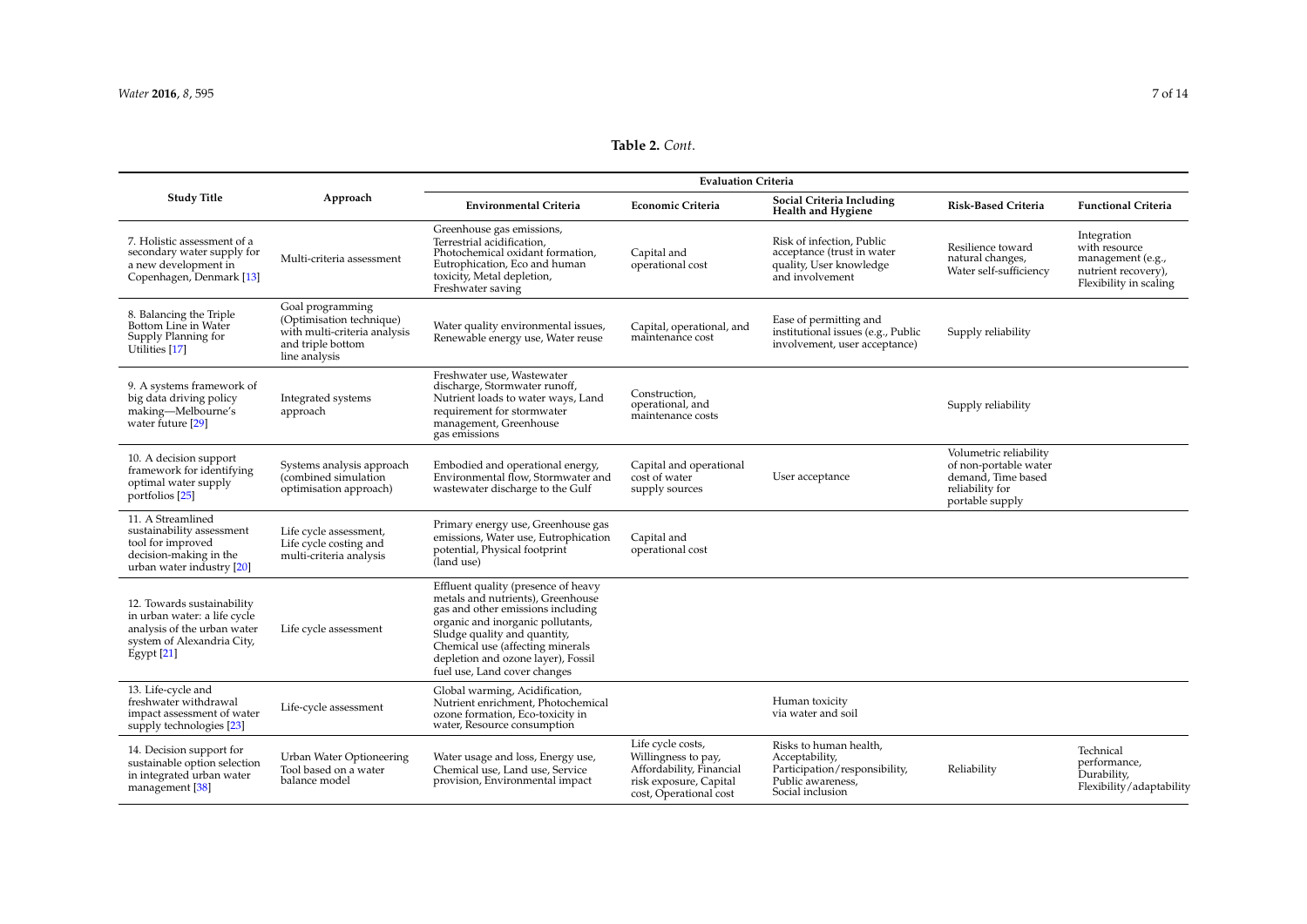# **Table 2.** *Cont*.

|                                                                                                                                            | Approach                                                                                                           | <b>Evaluation Criteria</b>                                                                                                                                                                                                                                                                   |                                                                                                                          |                                                                                                                    |                                                                                                             |                                                                                                    |  |
|--------------------------------------------------------------------------------------------------------------------------------------------|--------------------------------------------------------------------------------------------------------------------|----------------------------------------------------------------------------------------------------------------------------------------------------------------------------------------------------------------------------------------------------------------------------------------------|--------------------------------------------------------------------------------------------------------------------------|--------------------------------------------------------------------------------------------------------------------|-------------------------------------------------------------------------------------------------------------|----------------------------------------------------------------------------------------------------|--|
| <b>Study Title</b>                                                                                                                         |                                                                                                                    | <b>Environmental Criteria</b>                                                                                                                                                                                                                                                                | <b>Economic Criteria</b>                                                                                                 | Social Criteria Including<br><b>Health and Hygiene</b>                                                             | <b>Risk-Based Criteria</b>                                                                                  | <b>Functional Criteria</b>                                                                         |  |
| 7. Holistic assessment of a<br>secondary water supply for<br>a new development in<br>Copenhagen, Denmark [13]                              | Multi-criteria assessment                                                                                          | Greenhouse gas emissions,<br>Terrestrial acidification,<br>Photochemical oxidant formation,<br>Eutrophication, Eco and human<br>toxicity, Metal depletion,<br>Freshwater saving                                                                                                              | Capital and<br>operational cost                                                                                          | Risk of infection, Public<br>acceptance (trust in water<br>quality, User knowledge<br>and involvement              | Resilience toward<br>natural changes,<br>Water self-sufficiency                                             | Integration<br>with resource<br>management (e.g.,<br>nutrient recovery),<br>Flexibility in scaling |  |
| 8. Balancing the Triple<br>Bottom Line in Water<br>Supply Planning for<br>Utilities [17]                                                   | Goal programming<br>(Optimisation technique)<br>with multi-criteria analysis<br>and triple bottom<br>line analysis | Water quality environmental issues,<br>Renewable energy use, Water reuse                                                                                                                                                                                                                     | Capital, operational, and<br>maintenance cost                                                                            | Ease of permitting and<br>institutional issues (e.g., Public<br>involvement, user acceptance)                      | Supply reliability                                                                                          |                                                                                                    |  |
| 9. A systems framework of<br>big data driving policy<br>making-Melbourne's<br>water future [29]                                            | Integrated systems<br>approach                                                                                     | Freshwater use, Wastewater<br>discharge, Stormwater runoff,<br>Nutrient loads to water ways, Land<br>requirement for stormwater<br>management, Greenhouse<br>gas emissions                                                                                                                   | Construction,<br>operational, and<br>maintenance costs                                                                   |                                                                                                                    | Supply reliability                                                                                          |                                                                                                    |  |
| 10. A decision support<br>framework for identifying<br>optimal water supply<br>portfolios [25]                                             | Systems analysis approach<br>(combined simulation<br>optimisation approach)                                        | Embodied and operational energy,<br>Environmental flow, Stormwater and<br>wastewater discharge to the Gulf                                                                                                                                                                                   | Capital and operational<br>cost of water<br>supply sources                                                               | User acceptance                                                                                                    | Volumetric reliability<br>of non-portable water<br>demand, Time based<br>reliability for<br>portable supply |                                                                                                    |  |
| 11. A Streamlined<br>sustainability assessment<br>tool for improved<br>decision-making in the<br>urban water industry [20]                 | Life cycle assessment,<br>Life cycle costing and<br>multi-criteria analysis                                        | Primary energy use, Greenhouse gas<br>emissions, Water use, Eutrophication<br>potential, Physical footprint<br>(land use)                                                                                                                                                                    | Capital and<br>operational cost                                                                                          |                                                                                                                    |                                                                                                             |                                                                                                    |  |
| 12. Towards sustainability<br>in urban water: a life cycle<br>analysis of the urban water<br>system of Alexandria City,<br>$E$ gypt $[21]$ | Life cycle assessment                                                                                              | Effluent quality (presence of heavy<br>metals and nutrients), Greenhouse<br>gas and other emissions including<br>organic and inorganic pollutants,<br>Sludge quality and quantity,<br>Chemical use (affecting minerals<br>depletion and ozone layer), Fossil<br>fuel use, Land cover changes |                                                                                                                          |                                                                                                                    |                                                                                                             |                                                                                                    |  |
| 13. Life-cycle and<br>freshwater withdrawal<br>impact assessment of water<br>supply technologies [23]                                      | Life-cycle assessment                                                                                              | Global warming, Acidification,<br>Nutrient enrichment, Photochemical<br>ozone formation, Eco-toxicity in<br>water, Resource consumption                                                                                                                                                      |                                                                                                                          | Human toxicity<br>via water and soil                                                                               |                                                                                                             |                                                                                                    |  |
| 14. Decision support for<br>sustainable option selection<br>in integrated urban water<br>management [38]                                   | Urban Water Optioneering<br>Tool based on a water<br>balance model                                                 | Water usage and loss, Energy use,<br>Chemical use, Land use, Service<br>provision, Environmental impact                                                                                                                                                                                      | Life cycle costs,<br>Willingness to pay,<br>Affordability, Financial<br>risk exposure, Capital<br>cost, Operational cost | Risks to human health,<br>Acceptability,<br>Participation/responsibility,<br>Public awareness.<br>Social inclusion | Reliability                                                                                                 | Technical<br>performance,<br>Durability,<br>Flexibility/adaptability                               |  |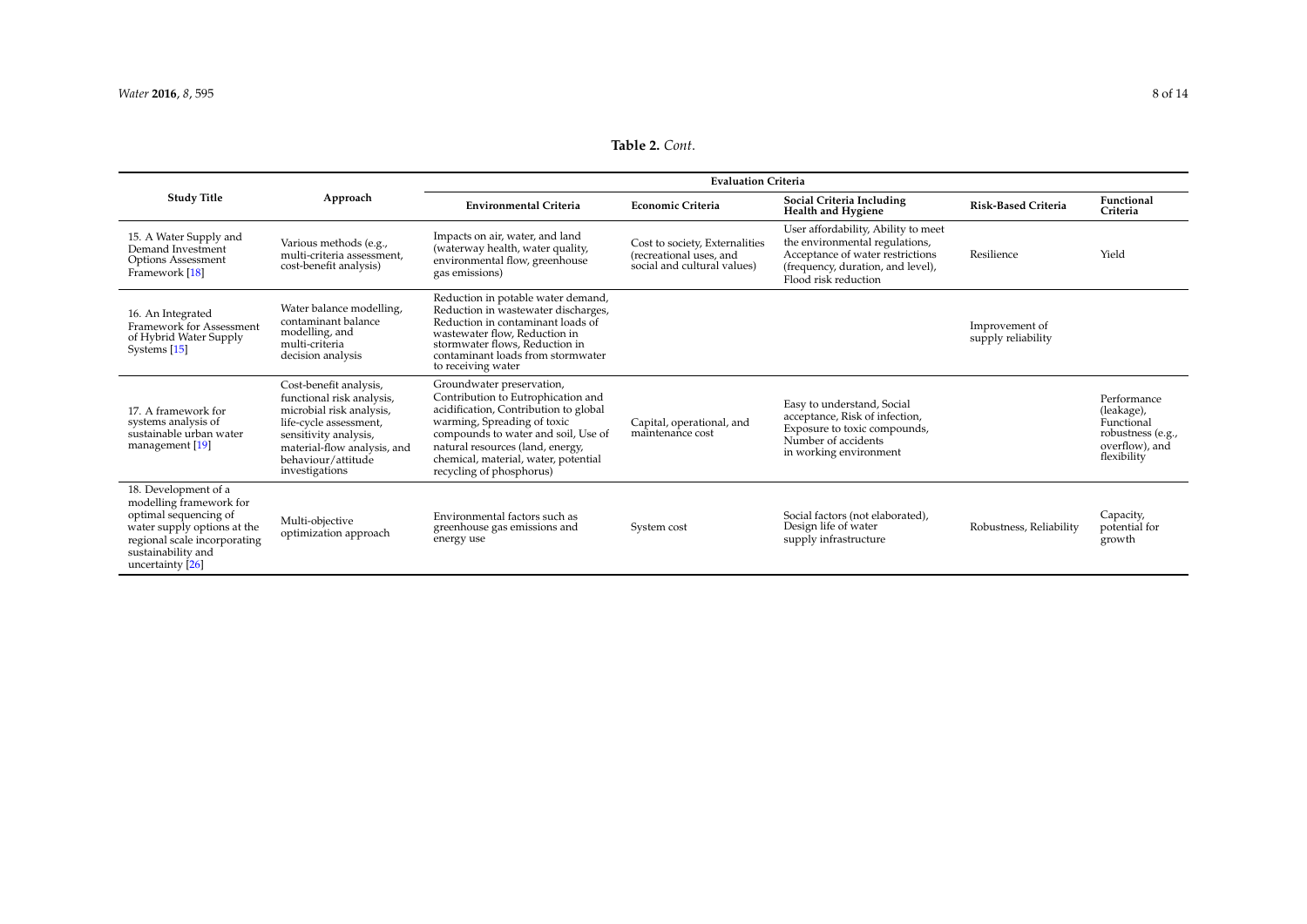# **Table 2.** *Cont*.

<span id="page-7-0"></span>

|                                                                                                                                                                                   | Approach                                                                                                                                                                                                  | <b>Evaluation Criteria</b>                                                                                                                                                                                                                                                             |                                                                                          |                                                                                                                                                                        |                                      |                                                                                               |
|-----------------------------------------------------------------------------------------------------------------------------------------------------------------------------------|-----------------------------------------------------------------------------------------------------------------------------------------------------------------------------------------------------------|----------------------------------------------------------------------------------------------------------------------------------------------------------------------------------------------------------------------------------------------------------------------------------------|------------------------------------------------------------------------------------------|------------------------------------------------------------------------------------------------------------------------------------------------------------------------|--------------------------------------|-----------------------------------------------------------------------------------------------|
| <b>Study Title</b>                                                                                                                                                                |                                                                                                                                                                                                           | <b>Environmental Criteria</b>                                                                                                                                                                                                                                                          | <b>Economic Criteria</b>                                                                 | Social Criteria Including<br>Health and Hygiene                                                                                                                        | <b>Risk-Based Criteria</b>           | Functional<br>Criteria                                                                        |
| 15. A Water Supply and<br>Demand Investment<br>Options Assessment<br>Framework [18]                                                                                               | Various methods (e.g.,<br>multi-criteria assessment,<br>cost-benefit analysis)                                                                                                                            | Impacts on air, water, and land<br>(waterway health, water quality,<br>environmental flow, greenhouse<br>gas emissions)                                                                                                                                                                | Cost to society, Externalities<br>(recreational uses, and<br>social and cultural values) | User affordability, Ability to meet<br>the environmental regulations,<br>Acceptance of water restrictions<br>(frequency, duration, and level),<br>Flood risk reduction | Resilience                           | Yield                                                                                         |
| 16. An Integrated<br>Framework for Assessment<br>of Hybrid Water Supply<br>Systems [15]                                                                                           | Water balance modelling,<br>contaminant balance<br>modelling, and<br>multi-criteria<br>decision analysis                                                                                                  | Reduction in potable water demand,<br>Reduction in wastewater discharges,<br>Reduction in contaminant loads of<br>wastewater flow, Reduction in<br>stormwater flows, Reduction in<br>contaminant loads from stormwater<br>to receiving water                                           |                                                                                          |                                                                                                                                                                        | Improvement of<br>supply reliability |                                                                                               |
| 17. A framework for<br>systems analysis of<br>sustainable urban water<br>management [19]                                                                                          | Cost-benefit analysis,<br>functional risk analysis,<br>microbial risk analysis,<br>life-cycle assessment,<br>sensitivity analysis,<br>material-flow analysis, and<br>behaviour/attitude<br>investigations | Groundwater preservation,<br>Contribution to Eutrophication and<br>acidification, Contribution to global<br>warming, Spreading of toxic<br>compounds to water and soil, Use of<br>natural resources (land, energy,<br>chemical, material, water, potential<br>recycling of phosphorus) | Capital, operational, and<br>maintenance cost                                            | Easy to understand, Social<br>acceptance, Risk of infection,<br>Exposure to toxic compounds,<br>Number of accidents<br>in working environment                          |                                      | Performance<br>(leakage),<br>Functional<br>robustness (e.g.,<br>overflow), and<br>flexibility |
| 18. Development of a<br>modelling framework for<br>optimal sequencing of<br>water supply options at the<br>regional scale incorporating<br>sustainability and<br>uncertainty [26] | Multi-objective<br>optimization approach                                                                                                                                                                  | Environmental factors such as<br>greenhouse gas emissions and<br>energy use                                                                                                                                                                                                            | System cost                                                                              | Social factors (not elaborated),<br>Design life of water<br>supply infrastructure                                                                                      | Robustness, Reliability              | Capacity,<br>potential for<br>growth                                                          |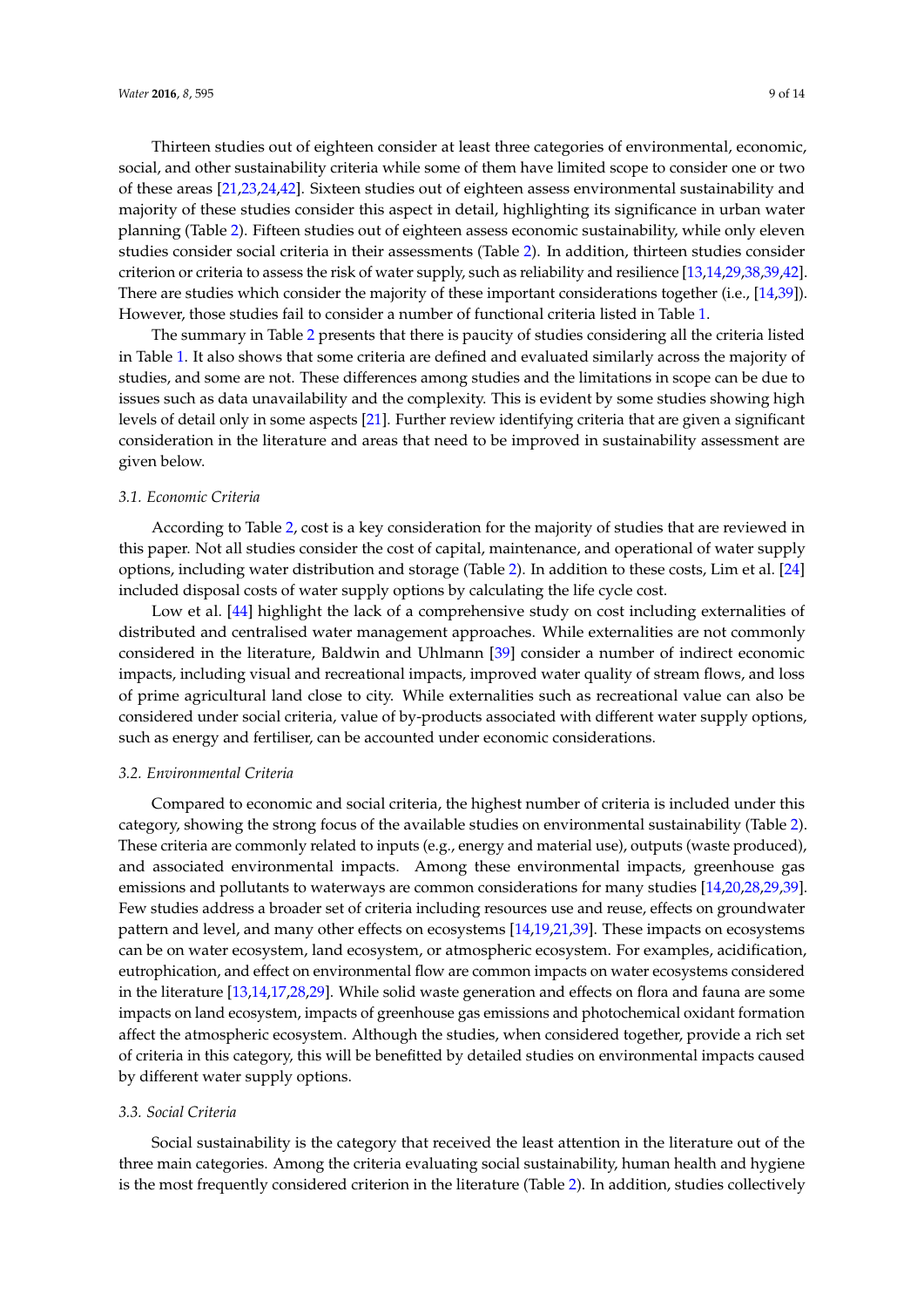Thirteen studies out of eighteen consider at least three categories of environmental, economic, social, and other sustainability criteria while some of them have limited scope to consider one or two of these areas [\[21,](#page-12-16)[23,](#page-12-14)[24,](#page-12-3)[42\]](#page-13-6). Sixteen studies out of eighteen assess environmental sustainability and majority of these studies consider this aspect in detail, highlighting its significance in urban water planning (Table [2\)](#page-7-0). Fifteen studies out of eighteen assess economic sustainability, while only eleven studies consider social criteria in their assessments (Table [2\)](#page-7-0). In addition, thirteen studies consider criterion or criteria to assess the risk of water supply, such as reliability and resilience [\[13,](#page-11-9)[14,](#page-11-10)[29,](#page-12-9)[38](#page-13-2)[,39](#page-13-3)[,42\]](#page-13-6). There are studies which consider the majority of these important considerations together (i.e., [\[14](#page-11-10)[,39\]](#page-13-3)).

However, those studies fail to consider a number of functional criteria listed in Table [1.](#page-4-1) The summary in Table [2](#page-7-0) presents that there is paucity of studies considering all the criteria listed in Table [1.](#page-4-1) It also shows that some criteria are defined and evaluated similarly across the majority of studies, and some are not. These differences among studies and the limitations in scope can be due to issues such as data unavailability and the complexity. This is evident by some studies showing high levels of detail only in some aspects [\[21\]](#page-12-16). Further review identifying criteria that are given a significant consideration in the literature and areas that need to be improved in sustainability assessment are given below.

#### *3.1. Economic Criteria*

According to Table [2,](#page-7-0) cost is a key consideration for the majority of studies that are reviewed in this paper. Not all studies consider the cost of capital, maintenance, and operational of water supply options, including water distribution and storage (Table [2\)](#page-7-0). In addition to these costs, Lim et al. [\[24\]](#page-12-3) included disposal costs of water supply options by calculating the life cycle cost.

Low et al. [\[44\]](#page-13-12) highlight the lack of a comprehensive study on cost including externalities of distributed and centralised water management approaches. While externalities are not commonly considered in the literature, Baldwin and Uhlmann [\[39\]](#page-13-3) consider a number of indirect economic impacts, including visual and recreational impacts, improved water quality of stream flows, and loss of prime agricultural land close to city. While externalities such as recreational value can also be considered under social criteria, value of by-products associated with different water supply options, such as energy and fertiliser, can be accounted under economic considerations.

#### *3.2. Environmental Criteria*

Compared to economic and social criteria, the highest number of criteria is included under this category, showing the strong focus of the available studies on environmental sustainability (Table [2\)](#page-7-0). These criteria are commonly related to inputs (e.g., energy and material use), outputs (waste produced), and associated environmental impacts. Among these environmental impacts, greenhouse gas emissions and pollutants to waterways are common considerations for many studies [\[14](#page-11-10)[,20](#page-12-2)[,28](#page-12-8)[,29,](#page-12-9)[39\]](#page-13-3). Few studies address a broader set of criteria including resources use and reuse, effects on groundwater pattern and level, and many other effects on ecosystems [\[14](#page-11-10)[,19](#page-12-1)[,21](#page-12-16)[,39\]](#page-13-3). These impacts on ecosystems can be on water ecosystem, land ecosystem, or atmospheric ecosystem. For examples, acidification, eutrophication, and effect on environmental flow are common impacts on water ecosystems considered in the literature [\[13,](#page-11-9)[14,](#page-11-10)[17,](#page-12-4)[28](#page-12-8)[,29\]](#page-12-9). While solid waste generation and effects on flora and fauna are some impacts on land ecosystem, impacts of greenhouse gas emissions and photochemical oxidant formation affect the atmospheric ecosystem. Although the studies, when considered together, provide a rich set of criteria in this category, this will be benefitted by detailed studies on environmental impacts caused by different water supply options.

#### *3.3. Social Criteria*

Social sustainability is the category that received the least attention in the literature out of the three main categories. Among the criteria evaluating social sustainability, human health and hygiene is the most frequently considered criterion in the literature (Table [2\)](#page-7-0). In addition, studies collectively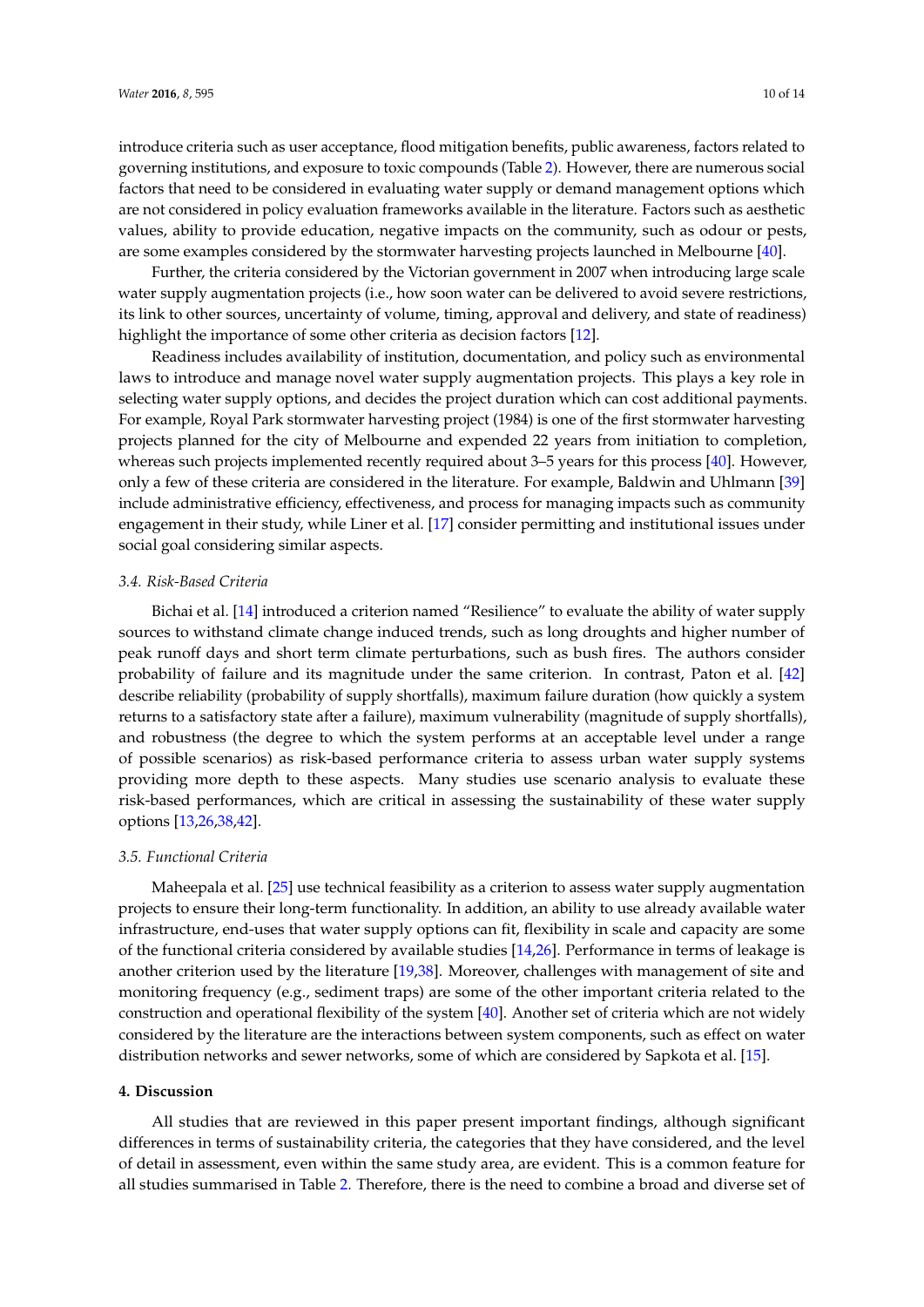introduce criteria such as user acceptance, flood mitigation benefits, public awareness, factors related to governing institutions, and exposure to toxic compounds (Table [2\)](#page-7-0). However, there are numerous social factors that need to be considered in evaluating water supply or demand management options which are not considered in policy evaluation frameworks available in the literature. Factors such as aesthetic values, ability to provide education, negative impacts on the community, such as odour or pests, are some examples considered by the stormwater harvesting projects launched in Melbourne [\[40\]](#page-13-4).

Further, the criteria considered by the Victorian government in 2007 when introducing large scale water supply augmentation projects (i.e., how soon water can be delivered to avoid severe restrictions, its link to other sources, uncertainty of volume, timing, approval and delivery, and state of readiness) highlight the importance of some other criteria as decision factors [\[12\]](#page-11-8).

Readiness includes availability of institution, documentation, and policy such as environmental laws to introduce and manage novel water supply augmentation projects. This plays a key role in selecting water supply options, and decides the project duration which can cost additional payments. For example, Royal Park stormwater harvesting project (1984) is one of the first stormwater harvesting projects planned for the city of Melbourne and expended 22 years from initiation to completion, whereas such projects implemented recently required about 3–5 years for this process [\[40\]](#page-13-4). However, only a few of these criteria are considered in the literature. For example, Baldwin and Uhlmann [\[39\]](#page-13-3) include administrative efficiency, effectiveness, and process for managing impacts such as community engagement in their study, while Liner et al. [\[17\]](#page-12-4) consider permitting and institutional issues under social goal considering similar aspects.

#### <span id="page-9-1"></span>*3.4. Risk-Based Criteria*

Bichai et al. [\[14\]](#page-11-10) introduced a criterion named "Resilience" to evaluate the ability of water supply sources to withstand climate change induced trends, such as long droughts and higher number of peak runoff days and short term climate perturbations, such as bush fires. The authors consider probability of failure and its magnitude under the same criterion. In contrast, Paton et al. [\[42\]](#page-13-6) describe reliability (probability of supply shortfalls), maximum failure duration (how quickly a system returns to a satisfactory state after a failure), maximum vulnerability (magnitude of supply shortfalls), and robustness (the degree to which the system performs at an acceptable level under a range of possible scenarios) as risk-based performance criteria to assess urban water supply systems providing more depth to these aspects. Many studies use scenario analysis to evaluate these risk-based performances, which are critical in assessing the sustainability of these water supply options [\[13](#page-11-9)[,26](#page-12-5)[,38,](#page-13-2)[42\]](#page-13-6).

#### *3.5. Functional Criteria*

Maheepala et al. [\[25\]](#page-12-7) use technical feasibility as a criterion to assess water supply augmentation projects to ensure their long-term functionality. In addition, an ability to use already available water infrastructure, end-uses that water supply options can fit, flexibility in scale and capacity are some of the functional criteria considered by available studies [\[14](#page-11-10)[,26\]](#page-12-5). Performance in terms of leakage is another criterion used by the literature [\[19](#page-12-1)[,38\]](#page-13-2). Moreover, challenges with management of site and monitoring frequency (e.g., sediment traps) are some of the other important criteria related to the construction and operational flexibility of the system [\[40\]](#page-13-4). Another set of criteria which are not widely considered by the literature are the interactions between system components, such as effect on water distribution networks and sewer networks, some of which are considered by Sapkota et al. [\[15\]](#page-11-11).

#### <span id="page-9-0"></span>**4. Discussion**

All studies that are reviewed in this paper present important findings, although significant differences in terms of sustainability criteria, the categories that they have considered, and the level of detail in assessment, even within the same study area, are evident. This is a common feature for all studies summarised in Table [2.](#page-7-0) Therefore, there is the need to combine a broad and diverse set of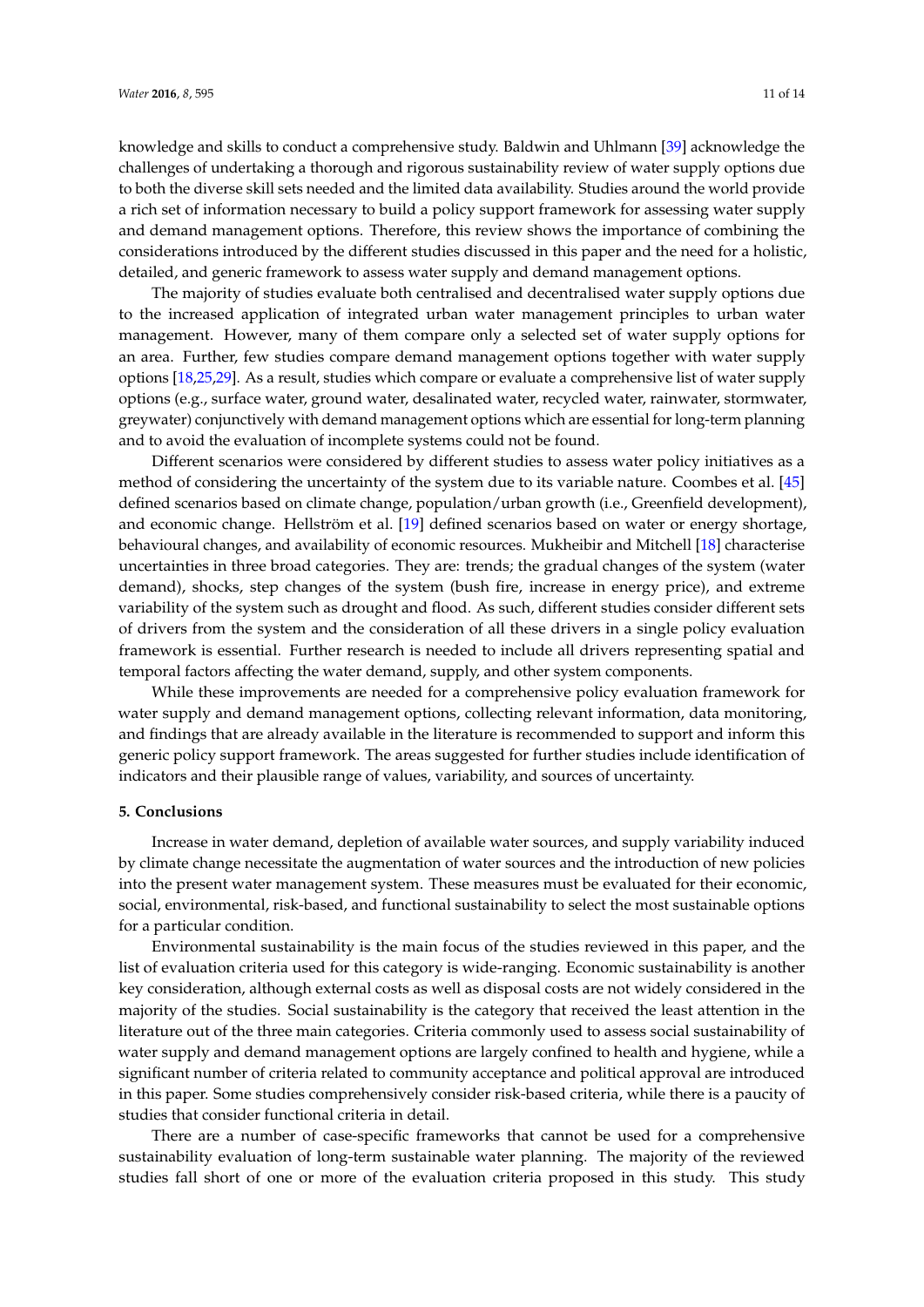knowledge and skills to conduct a comprehensive study. Baldwin and Uhlmann [\[39\]](#page-13-3) acknowledge the challenges of undertaking a thorough and rigorous sustainability review of water supply options due to both the diverse skill sets needed and the limited data availability. Studies around the world provide a rich set of information necessary to build a policy support framework for assessing water supply and demand management options. Therefore, this review shows the importance of combining the considerations introduced by the different studies discussed in this paper and the need for a holistic, detailed, and generic framework to assess water supply and demand management options.

The majority of studies evaluate both centralised and decentralised water supply options due to the increased application of integrated urban water management principles to urban water management. However, many of them compare only a selected set of water supply options for an area. Further, few studies compare demand management options together with water supply options [\[18](#page-12-0)[,25](#page-12-7)[,29\]](#page-12-9). As a result, studies which compare or evaluate a comprehensive list of water supply options (e.g., surface water, ground water, desalinated water, recycled water, rainwater, stormwater, greywater) conjunctively with demand management options which are essential for long-term planning and to avoid the evaluation of incomplete systems could not be found.

Different scenarios were considered by different studies to assess water policy initiatives as a method of considering the uncertainty of the system due to its variable nature. Coombes et al. [\[45\]](#page-13-13) defined scenarios based on climate change, population/urban growth (i.e., Greenfield development), and economic change. Hellström et al. [\[19\]](#page-12-1) defined scenarios based on water or energy shortage, behavioural changes, and availability of economic resources. Mukheibir and Mitchell [\[18\]](#page-12-0) characterise uncertainties in three broad categories. They are: trends; the gradual changes of the system (water demand), shocks, step changes of the system (bush fire, increase in energy price), and extreme variability of the system such as drought and flood. As such, different studies consider different sets of drivers from the system and the consideration of all these drivers in a single policy evaluation framework is essential. Further research is needed to include all drivers representing spatial and temporal factors affecting the water demand, supply, and other system components.

While these improvements are needed for a comprehensive policy evaluation framework for water supply and demand management options, collecting relevant information, data monitoring, and findings that are already available in the literature is recommended to support and inform this generic policy support framework. The areas suggested for further studies include identification of indicators and their plausible range of values, variability, and sources of uncertainty.

#### <span id="page-10-0"></span>**5. Conclusions**

Increase in water demand, depletion of available water sources, and supply variability induced by climate change necessitate the augmentation of water sources and the introduction of new policies into the present water management system. These measures must be evaluated for their economic, social, environmental, risk-based, and functional sustainability to select the most sustainable options for a particular condition.

Environmental sustainability is the main focus of the studies reviewed in this paper, and the list of evaluation criteria used for this category is wide-ranging. Economic sustainability is another key consideration, although external costs as well as disposal costs are not widely considered in the majority of the studies. Social sustainability is the category that received the least attention in the literature out of the three main categories. Criteria commonly used to assess social sustainability of water supply and demand management options are largely confined to health and hygiene, while a significant number of criteria related to community acceptance and political approval are introduced in this paper. Some studies comprehensively consider risk-based criteria, while there is a paucity of studies that consider functional criteria in detail.

There are a number of case-specific frameworks that cannot be used for a comprehensive sustainability evaluation of long-term sustainable water planning. The majority of the reviewed studies fall short of one or more of the evaluation criteria proposed in this study. This study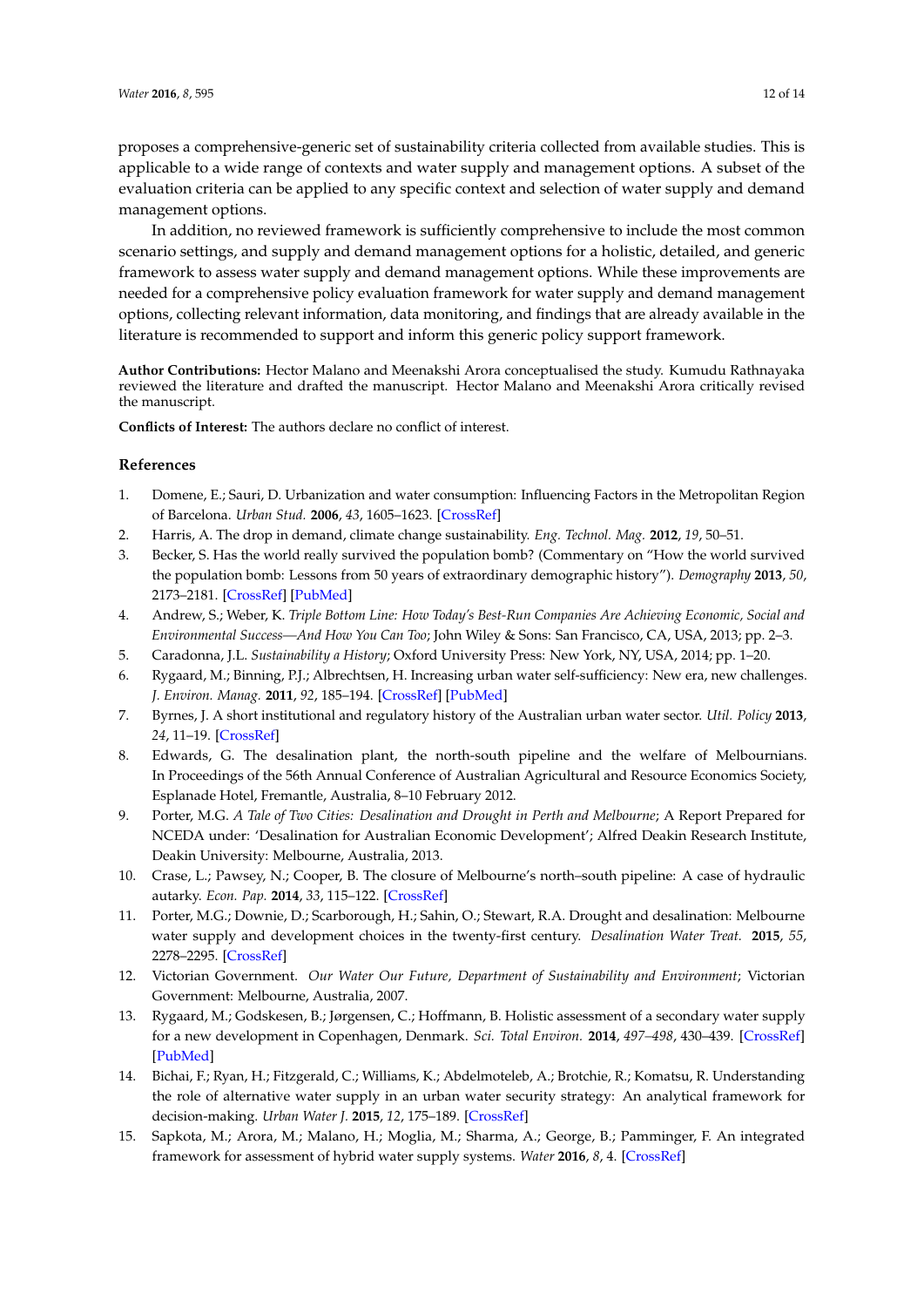proposes a comprehensive-generic set of sustainability criteria collected from available studies. This is applicable to a wide range of contexts and water supply and management options. A subset of the evaluation criteria can be applied to any specific context and selection of water supply and demand management options.

In addition, no reviewed framework is sufficiently comprehensive to include the most common scenario settings, and supply and demand management options for a holistic, detailed, and generic framework to assess water supply and demand management options. While these improvements are needed for a comprehensive policy evaluation framework for water supply and demand management options, collecting relevant information, data monitoring, and findings that are already available in the literature is recommended to support and inform this generic policy support framework.

**Author Contributions:** Hector Malano and Meenakshi Arora conceptualised the study. Kumudu Rathnayaka reviewed the literature and drafted the manuscript. Hector Malano and Meenakshi Arora critically revised the manuscript.

**Conflicts of Interest:** The authors declare no conflict of interest.

#### **References**

- <span id="page-11-0"></span>1. Domene, E.; Sauri, D. Urbanization and water consumption: Influencing Factors in the Metropolitan Region of Barcelona. *Urban Stud.* **2006**, *43*, 1605–1623. [\[CrossRef\]](http://dx.doi.org/10.1080/00420980600749969)
- 2. Harris, A. The drop in demand, climate change sustainability. *Eng. Technol. Mag.* **2012**, *19*, 50–51.
- <span id="page-11-1"></span>3. Becker, S. Has the world really survived the population bomb? (Commentary on "How the world survived the population bomb: Lessons from 50 years of extraordinary demographic history"). *Demography* **2013**, *50*, 2173–2181. [\[CrossRef\]](http://dx.doi.org/10.1007/s13524-013-0236-y) [\[PubMed\]](http://www.ncbi.nlm.nih.gov/pubmed/23955197)
- <span id="page-11-13"></span><span id="page-11-2"></span>4. Andrew, S.; Weber, K. *Triple Bottom Line: How Today's Best-Run Companies Are Achieving Economic, Social and Environmental Success—And How You Can Too*; John Wiley & Sons: San Francisco, CA, USA, 2013; pp. 2–3.
- <span id="page-11-3"></span>5. Caradonna, J.L. *Sustainability a History*; Oxford University Press: New York, NY, USA, 2014; pp. 1–20.
- <span id="page-11-12"></span><span id="page-11-4"></span>6. Rygaard, M.; Binning, P.J.; Albrechtsen, H. Increasing urban water self-sufficiency: New era, new challenges. *J. Environ. Manag.* **2011**, *92*, 185–194. [\[CrossRef\]](http://dx.doi.org/10.1016/j.jenvman.2010.09.009) [\[PubMed\]](http://www.ncbi.nlm.nih.gov/pubmed/20888683)
- <span id="page-11-5"></span>7. Byrnes, J. A short institutional and regulatory history of the Australian urban water sector. *Util. Policy* **2013**, *24*, 11–19. [\[CrossRef\]](http://dx.doi.org/10.1016/j.jup.2012.09.001)
- <span id="page-11-14"></span><span id="page-11-6"></span>8. Edwards, G. The desalination plant, the north-south pipeline and the welfare of Melbournians. In Proceedings of the 56th Annual Conference of Australian Agricultural and Resource Economics Society, Esplanade Hotel, Fremantle, Australia, 8–10 February 2012.
- 9. Porter, M.G. *A Tale of Two Cities: Desalination and Drought in Perth and Melbourne*; A Report Prepared for NCEDA under: 'Desalination for Australian Economic Development'; Alfred Deakin Research Institute, Deakin University: Melbourne, Australia, 2013.
- 10. Crase, L.; Pawsey, N.; Cooper, B. The closure of Melbourne's north–south pipeline: A case of hydraulic autarky. *Econ. Pap.* **2014**, *33*, 115–122. [\[CrossRef\]](http://dx.doi.org/10.1111/1759-3441.12076)
- <span id="page-11-7"></span>11. Porter, M.G.; Downie, D.; Scarborough, H.; Sahin, O.; Stewart, R.A. Drought and desalination: Melbourne water supply and development choices in the twenty-first century. *Desalination Water Treat.* **2015**, *55*, 2278–2295. [\[CrossRef\]](http://dx.doi.org/10.1080/19443994.2014.959743)
- <span id="page-11-8"></span>12. Victorian Government. *Our Water Our Future, Department of Sustainability and Environment*; Victorian Government: Melbourne, Australia, 2007.
- <span id="page-11-9"></span>13. Rygaard, M.; Godskesen, B.; Jørgensen, C.; Hoffmann, B. Holistic assessment of a secondary water supply for a new development in Copenhagen, Denmark. *Sci. Total Environ.* **2014**, *497–498*, 430–439. [\[CrossRef\]](http://dx.doi.org/10.1016/j.scitotenv.2014.07.078) [\[PubMed\]](http://www.ncbi.nlm.nih.gov/pubmed/25150737)
- <span id="page-11-10"></span>14. Bichai, F.; Ryan, H.; Fitzgerald, C.; Williams, K.; Abdelmoteleb, A.; Brotchie, R.; Komatsu, R. Understanding the role of alternative water supply in an urban water security strategy: An analytical framework for decision-making. *Urban Water J.* **2015**, *12*, 175–189. [\[CrossRef\]](http://dx.doi.org/10.1080/1573062X.2014.895844)
- <span id="page-11-11"></span>15. Sapkota, M.; Arora, M.; Malano, H.; Moglia, M.; Sharma, A.; George, B.; Pamminger, F. An integrated framework for assessment of hybrid water supply systems. *Water* **2016**, *8*, 4. [\[CrossRef\]](http://dx.doi.org/10.3390/w8010004)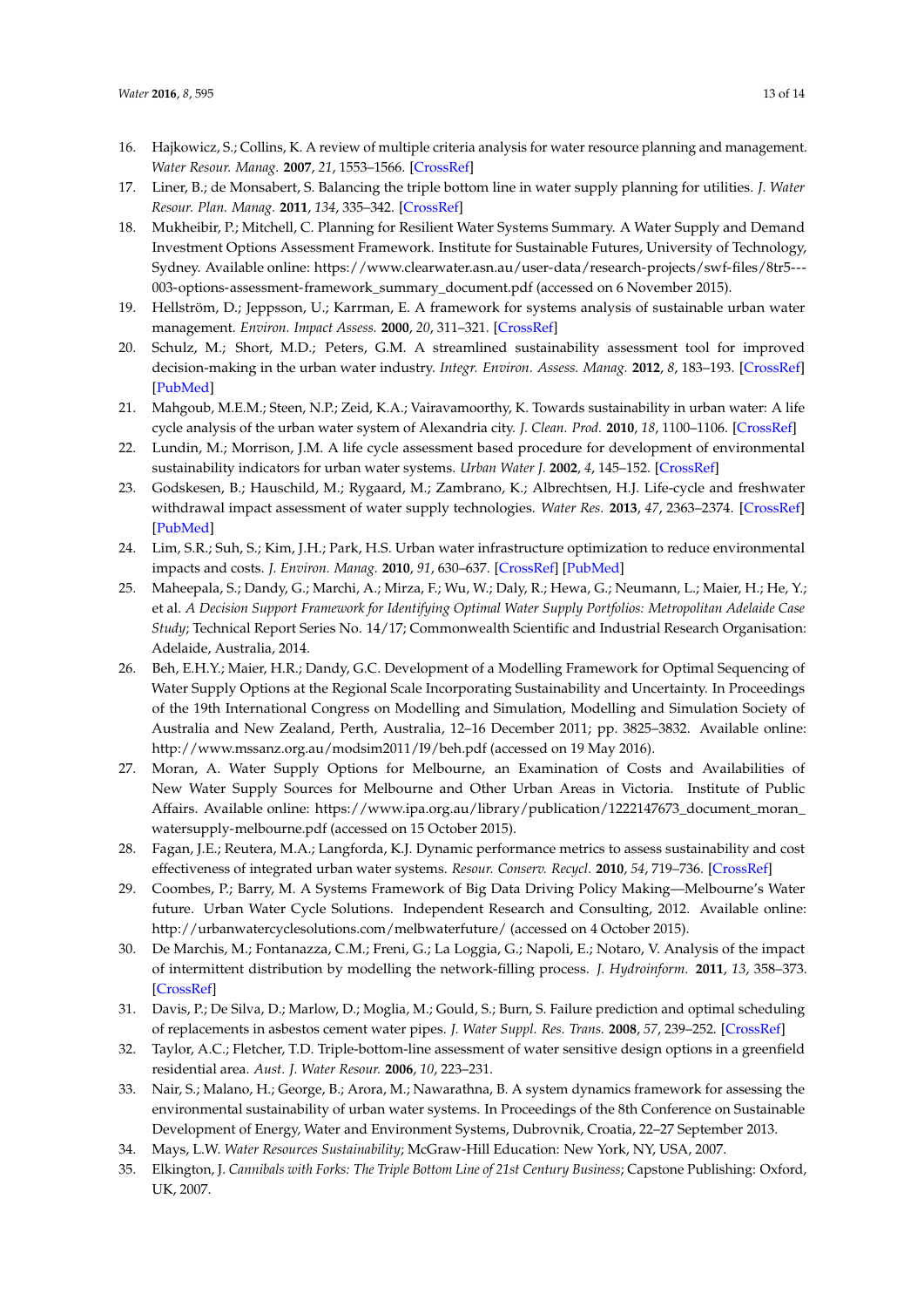- <span id="page-12-26"></span><span id="page-12-25"></span><span id="page-12-24"></span><span id="page-12-23"></span><span id="page-12-22"></span><span id="page-12-19"></span><span id="page-12-18"></span>16. Hajkowicz, S.; Collins, K. A review of multiple criteria analysis for water resource planning and management. *Water Resour. Manag.* **2007**, *21*, 1553–1566. [\[CrossRef\]](http://dx.doi.org/10.1007/s11269-006-9112-5)
- <span id="page-12-21"></span><span id="page-12-4"></span>17. Liner, B.; de Monsabert, S. Balancing the triple bottom line in water supply planning for utilities. *J. Water Resour. Plan. Manag.* **2011**, *134*, 335–342. [\[CrossRef\]](http://dx.doi.org/10.1061/(ASCE)WR.1943-5452.0000128)
- <span id="page-12-0"></span>18. Mukheibir, P.; Mitchell, C. Planning for Resilient Water Systems Summary. A Water Supply and Demand Investment Options Assessment Framework. Institute for Sustainable Futures, University of Technology, Sydney. Available online: [https://www.clearwater.asn.au/user-data/research-projects/swf-files/8tr5---](https://www.clearwater.asn.au/user-data/research-projects/swf-files/8tr5---003-options-assessment-framework_summary_document.pdf) [003-options-assessment-framework\\_summary\\_document.pdf](https://www.clearwater.asn.au/user-data/research-projects/swf-files/8tr5---003-options-assessment-framework_summary_document.pdf) (accessed on 6 November 2015).
- <span id="page-12-27"></span><span id="page-12-1"></span>19. Hellström, D.; Jeppsson, U.; Karrman, E. A framework for systems analysis of sustainable urban water management. *Environ. Impact Assess.* **2000**, *20*, 311–321. [\[CrossRef\]](http://dx.doi.org/10.1016/S0195-9255(00)00043-3)
- <span id="page-12-2"></span>20. Schulz, M.; Short, M.D.; Peters, G.M. A streamlined sustainability assessment tool for improved decision-making in the urban water industry. *Integr. Environ. Assess. Manag.* **2012**, *8*, 183–193. [\[CrossRef\]](http://dx.doi.org/10.1002/ieam.247) [\[PubMed\]](http://www.ncbi.nlm.nih.gov/pubmed/21751340)
- <span id="page-12-16"></span>21. Mahgoub, M.E.M.; Steen, N.P.; Zeid, K.A.; Vairavamoorthy, K. Towards sustainability in urban water: A life cycle analysis of the urban water system of Alexandria city. *J. Clean. Prod.* **2010**, *18*, 1100–1106. [\[CrossRef\]](http://dx.doi.org/10.1016/j.jclepro.2010.02.009)
- <span id="page-12-17"></span><span id="page-12-15"></span>22. Lundin, M.; Morrison, J.M. A life cycle assessment based procedure for development of environmental sustainability indicators for urban water systems. *Urban Water J.* **2002**, *4*, 145–152. [\[CrossRef\]](http://dx.doi.org/10.1016/S1462-0758(02)00015-8)
- <span id="page-12-20"></span><span id="page-12-14"></span>23. Godskesen, B.; Hauschild, M.; Rygaard, M.; Zambrano, K.; Albrechtsen, H.J. Life-cycle and freshwater withdrawal impact assessment of water supply technologies. *Water Res.* **2013**, *47*, 2363–2374. [\[CrossRef\]](http://dx.doi.org/10.1016/j.watres.2013.02.005) [\[PubMed\]](http://www.ncbi.nlm.nih.gov/pubmed/23490105)
- <span id="page-12-3"></span>24. Lim, S.R.; Suh, S.; Kim, J.H.; Park, H.S. Urban water infrastructure optimization to reduce environmental impacts and costs. *J. Environ. Manag.* **2010**, *91*, 630–637. [\[CrossRef\]](http://dx.doi.org/10.1016/j.jenvman.2009.09.026) [\[PubMed\]](http://www.ncbi.nlm.nih.gov/pubmed/19939551)
- <span id="page-12-7"></span>25. Maheepala, S.; Dandy, G.; Marchi, A.; Mirza, F.; Wu, W.; Daly, R.; Hewa, G.; Neumann, L.; Maier, H.; He, Y.; et al. *A Decision Support Framework for Identifying Optimal Water Supply Portfolios: Metropolitan Adelaide Case Study*; Technical Report Series No. 14/17; Commonwealth Scientific and Industrial Research Organisation: Adelaide, Australia, 2014.
- <span id="page-12-5"></span>26. Beh, E.H.Y.; Maier, H.R.; Dandy, G.C. Development of a Modelling Framework for Optimal Sequencing of Water Supply Options at the Regional Scale Incorporating Sustainability and Uncertainty. In Proceedings of the 19th International Congress on Modelling and Simulation, Modelling and Simulation Society of Australia and New Zealand, Perth, Australia, 12–16 December 2011; pp. 3825–3832. Available online: <http://www.mssanz.org.au/modsim2011/I9/beh.pdf> (accessed on 19 May 2016).
- <span id="page-12-6"></span>27. Moran, A. Water Supply Options for Melbourne, an Examination of Costs and Availabilities of New Water Supply Sources for Melbourne and Other Urban Areas in Victoria. Institute of Public Affairs. Available online: [https://www.ipa.org.au/library/publication/1222147673\\_document\\_moran\\_](https://www.ipa.org.au/library/publication/1222147673_document_moran_watersupply-melbourne.pdf) [watersupply-melbourne.pdf](https://www.ipa.org.au/library/publication/1222147673_document_moran_watersupply-melbourne.pdf) (accessed on 15 October 2015).
- <span id="page-12-8"></span>28. Fagan, J.E.; Reutera, M.A.; Langforda, K.J. Dynamic performance metrics to assess sustainability and cost effectiveness of integrated urban water systems. *Resour. Conserv. Recycl.* **2010**, *54*, 719–736. [\[CrossRef\]](http://dx.doi.org/10.1016/j.resconrec.2009.12.002)
- <span id="page-12-9"></span>29. Coombes, P.; Barry, M. A Systems Framework of Big Data Driving Policy Making—Melbourne's Water future. Urban Water Cycle Solutions. Independent Research and Consulting, 2012. Available online: <http://urbanwatercyclesolutions.com/melbwaterfuture/> (accessed on 4 October 2015).
- <span id="page-12-10"></span>30. De Marchis, M.; Fontanazza, C.M.; Freni, G.; La Loggia, G.; Napoli, E.; Notaro, V. Analysis of the impact of intermittent distribution by modelling the network-filling process. *J. Hydroinform.* **2011**, *13*, 358–373. [\[CrossRef\]](http://dx.doi.org/10.2166/hydro.2010.026)
- 31. Davis, P.; De Silva, D.; Marlow, D.; Moglia, M.; Gould, S.; Burn, S. Failure prediction and optimal scheduling of replacements in asbestos cement water pipes. *J. Water Suppl. Res. Trans.* **2008**, *57*, 239–252. [\[CrossRef\]](http://dx.doi.org/10.2166/aqua.2008.035)
- 32. Taylor, A.C.; Fletcher, T.D. Triple-bottom-line assessment of water sensitive design options in a greenfield residential area. *Aust. J. Water Resour.* **2006**, *10*, 223–231.
- <span id="page-12-11"></span>33. Nair, S.; Malano, H.; George, B.; Arora, M.; Nawarathna, B. A system dynamics framework for assessing the environmental sustainability of urban water systems. In Proceedings of the 8th Conference on Sustainable Development of Energy, Water and Environment Systems, Dubrovnik, Croatia, 22–27 September 2013.
- <span id="page-12-12"></span>34. Mays, L.W. *Water Resources Sustainability*; McGraw-Hill Education: New York, NY, USA, 2007.
- <span id="page-12-13"></span>35. Elkington, J. *Cannibals with Forks: The Triple Bottom Line of 21st Century Business*; Capstone Publishing: Oxford, UK, 2007.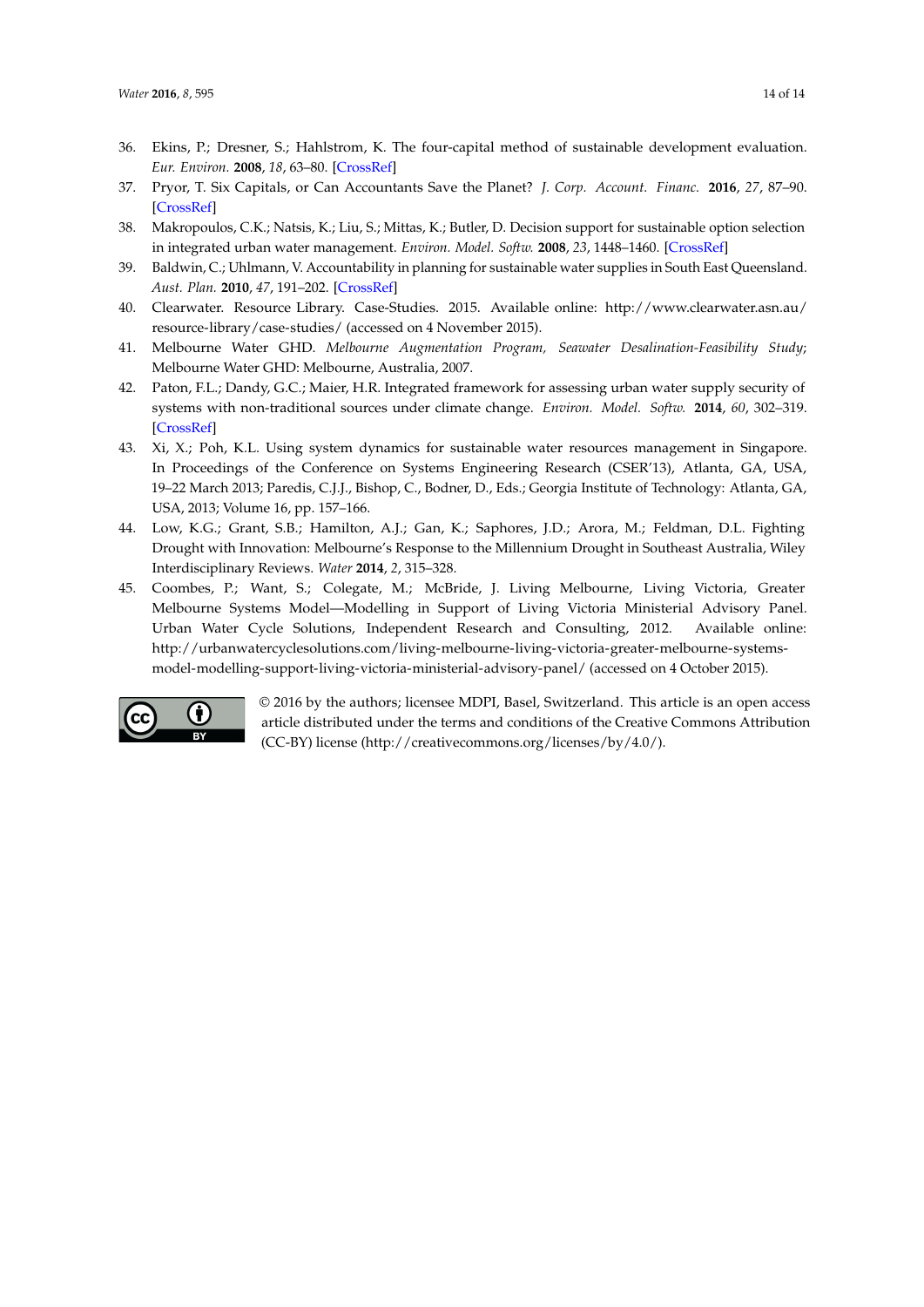- <span id="page-13-11"></span><span id="page-13-10"></span><span id="page-13-9"></span><span id="page-13-8"></span><span id="page-13-0"></span>36. Ekins, P.; Dresner, S.; Hahlstrom, K. The four-capital method of sustainable development evaluation. *Eur. Environ.* **2008**, *18*, 63–80. [\[CrossRef\]](http://dx.doi.org/10.1002/eet.471)
- <span id="page-13-1"></span>37. Pryor, T. Six Capitals, or Can Accountants Save the Planet? *J. Corp. Account. Financ.* **2016**, *27*, 87–90. [\[CrossRef\]](http://dx.doi.org/10.1002/jcaf.22147)
- <span id="page-13-2"></span>38. Makropoulos, C.K.; Natsis, K.; Liu, S.; Mittas, K.; Butler, D. Decision support for sustainable option selection in integrated urban water management. *Environ. Model. Softw.* **2008**, *23*, 1448–1460. [\[CrossRef\]](http://dx.doi.org/10.1016/j.envsoft.2008.04.010)
- <span id="page-13-3"></span>39. Baldwin, C.; Uhlmann, V. Accountability in planning for sustainable water supplies in South East Queensland. *Aust. Plan.* **2010**, *47*, 191–202. [\[CrossRef\]](http://dx.doi.org/10.1080/07293682.2010.508205)
- <span id="page-13-4"></span>40. Clearwater. Resource Library. Case-Studies. 2015. Available online: [http://www.clearwater.asn.au/](http://www.clearwater.asn.au/resource-library/case-studies/) [resource-library/case-studies/](http://www.clearwater.asn.au/resource-library/case-studies/) (accessed on 4 November 2015).
- <span id="page-13-5"></span>41. Melbourne Water GHD. *Melbourne Augmentation Program, Seawater Desalination-Feasibility Study*; Melbourne Water GHD: Melbourne, Australia, 2007.
- <span id="page-13-6"></span>42. Paton, F.L.; Dandy, G.C.; Maier, H.R. Integrated framework for assessing urban water supply security of systems with non-traditional sources under climate change. *Environ. Model. Softw.* **2014**, *60*, 302–319. [\[CrossRef\]](http://dx.doi.org/10.1016/j.envsoft.2014.06.018)
- <span id="page-13-7"></span>43. Xi, X.; Poh, K.L. Using system dynamics for sustainable water resources management in Singapore. In Proceedings of the Conference on Systems Engineering Research (CSER'13), Atlanta, GA, USA, 19–22 March 2013; Paredis, C.J.J., Bishop, C., Bodner, D., Eds.; Georgia Institute of Technology: Atlanta, GA, USA, 2013; Volume 16, pp. 157–166.
- <span id="page-13-12"></span>44. Low, K.G.; Grant, S.B.; Hamilton, A.J.; Gan, K.; Saphores, J.D.; Arora, M.; Feldman, D.L. Fighting Drought with Innovation: Melbourne's Response to the Millennium Drought in Southeast Australia, Wiley Interdisciplinary Reviews. *Water* **2014**, *2*, 315–328.
- <span id="page-13-13"></span>45. Coombes, P.; Want, S.; Colegate, M.; McBride, J. Living Melbourne, Living Victoria, Greater Melbourne Systems Model—Modelling in Support of Living Victoria Ministerial Advisory Panel. Urban Water Cycle Solutions, Independent Research and Consulting, 2012. Available online: [http://urbanwatercyclesolutions.com/living-melbourne-living-victoria-greater-melbourne-systems](http://urbanwatercyclesolutions.com/living-melbourne-living-victoria-greater-melbourne-systems-model-modelling-support-living-victoria-ministerial-advisory-panel/)[model-modelling-support-living-victoria-ministerial-advisory-panel/](http://urbanwatercyclesolutions.com/living-melbourne-living-victoria-greater-melbourne-systems-model-modelling-support-living-victoria-ministerial-advisory-panel/) (accessed on 4 October 2015).



© 2016 by the authors; licensee MDPI, Basel, Switzerland. This article is an open access article distributed under the terms and conditions of the Creative Commons Attribution (CC-BY) license [\(http://creativecommons.org/licenses/by/4.0/\)](http://creativecommons.org/licenses/by/4.0/.).